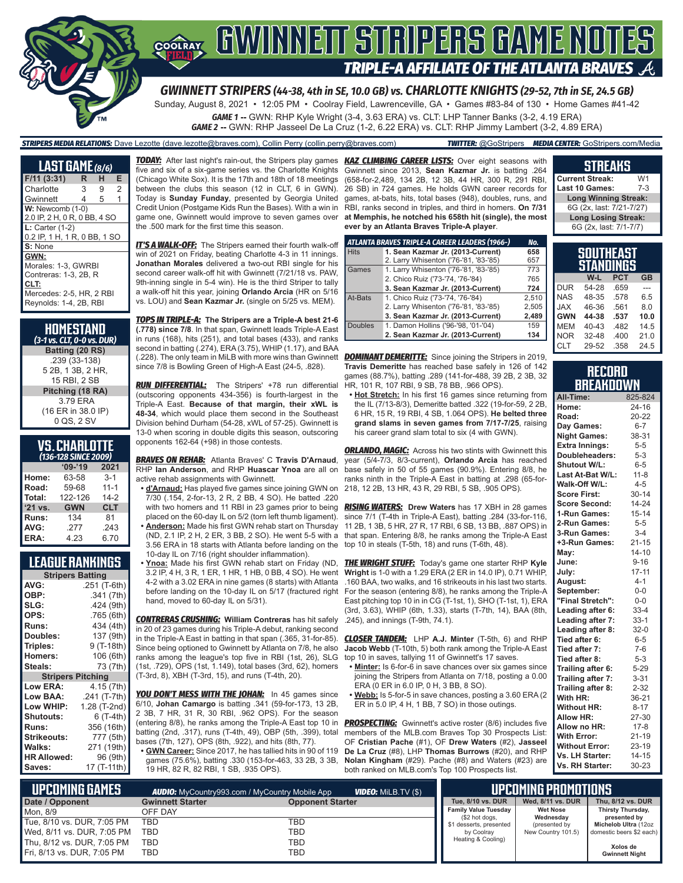

# **COORAY GWINNEIT STRIPERS GAME NOTES TRIPLE-A AFFILIATE OF THE ATLANTA BRAVES**

*GWINNETT STRIPERS (44-38, 4th in SE, 10.0 GB) vs. CHARLOTTE KNIGHTS (29-52, 7th in SE, 24.5 GB)*

Sunday, August 8, 2021 • 12:05 PM • Coolray Field, Lawrenceville, GA • Games #83-84 of 130 • Home Games #41-42

*GAME 1* **--** GWN: RHP Kyle Wright (3-4, 3.63 ERA) vs. CLT: LHP Tanner Banks (3-2, 4.19 ERA)

*GAME 2* **--** GWN: RHP Jasseel De La Cruz (1-2, 6.22 ERA) vs. CLT: RHP Jimmy Lambert (3-2, 4.89 ERA)

*STRIPERS MEDIA RELATIONS:* Dave Lezotte (dave.lezotte@braves.com), Collin Perry (collin.perry@braves.com) *TWITTER:* @GoStripers *MEDIA CENTER:* GoStripers.com/Media

| LAST GAME (8/6)              |   |   |                |
|------------------------------|---|---|----------------|
| $F/11$ (3:31)                | R | н | Е              |
| Charlotte                    | 3 | 9 | $\overline{2}$ |
| Gwinnett                     | 4 | 5 | 1              |
| W: Newcomb (1-0)             |   |   |                |
| 2.0 IP, 2 H, 0 R, 0 BB, 4 SO |   |   |                |
| $L:$ Carter $(1-2)$          |   |   |                |
| 0.2 IP, 1 H, 1 R, 0 BB, 1 SO |   |   |                |
| S: None                      |   |   |                |
| GWN:                         |   |   |                |
| Morales: 1-3, GWRBI          |   |   |                |
| Contreras: 1-3, 2B, R        |   |   |                |
| CLT:                         |   |   |                |
| Mercedes: 2-5, HR, 2 RBI     |   |   |                |
| Reynolds: 1-4, 2B, RBI       |   |   |                |

| HOMESTAND<br>(3-1 vs. CLT, 0-0 vs. DUR) |
|-----------------------------------------|
| Batting (20 RS)                         |
| .239 (33-138)                           |
| 5 2B, 1 3B, 2 HR,                       |
| 15 RBI, 2 SB                            |
| Pitching (18 RA)                        |
| 3.79 ERA                                |
| (16 ER in 38.0 IP)                      |
| 0 QS, 2 SV                              |

#### **VS. CHARLOTTE**  *(136-128 SINCE 2009)*

|         | $09 - 19$  | 2021       |  |  |  |
|---------|------------|------------|--|--|--|
| Home:   | 63-58      | $3 - 1$    |  |  |  |
| Road:   | 59-68      | $11 - 1$   |  |  |  |
| Total:  | 122-126    | $14-2$     |  |  |  |
| '21 vs. | <b>GWN</b> | <b>CLT</b> |  |  |  |
| Runs:   | 134        | 81         |  |  |  |
| AVG:    | .277       | .243       |  |  |  |
| ERA:    | 4.23       | 6.70       |  |  |  |

#### **LEAGUE RANKINGS**

| <b>Stripers Batting</b>  |              |  |  |  |
|--------------------------|--------------|--|--|--|
| AVG:                     | .251 (T-6th) |  |  |  |
| OBP:                     | .341 (7th)   |  |  |  |
| SLG:                     | .424 (9th)   |  |  |  |
| OPS:                     | .765 (6th)   |  |  |  |
| <b>Runs:</b>             | 434 (4th)    |  |  |  |
| Doubles:                 | 137 (9th)    |  |  |  |
| Triples:                 | 9 (T-18th)   |  |  |  |
| <b>Homers:</b>           | 106 (6th)    |  |  |  |
| Steals:                  | 73 (7th)     |  |  |  |
| <b>Stripers Pitching</b> |              |  |  |  |
| <b>Low ERA:</b>          | 4.15 (7th)   |  |  |  |
| Low BAA:                 | .241 (T-7th) |  |  |  |
| Low WHIP:                | 1.28 (T-2nd) |  |  |  |
| <b>Shutouts:</b>         | 6 (T-4th)    |  |  |  |
| <b>Runs:</b>             | 356 (16th)   |  |  |  |
| Strikeouts:              | 777 (5th)    |  |  |  |
| Walks:                   | 271 (19th)   |  |  |  |
| <b>HR Allowed:</b>       | 96 (9th)     |  |  |  |
| Saves:                   | 17 (T-11th)  |  |  |  |

five and six of a six-game series vs. the Charlotte Knights (Chicago White Sox). It is the 17th and 18th of 18 meetings between the clubs this season (12 in CLT, 6 in GWN). Today is **Sunday Funday**, presented by Georgia United Credit Union (Postgame Kids Run the Bases). With a win in game one, Gwinnett would improve to seven games over the .500 mark for the first time this season.

*IT'S A WALK-OFF:* The Stripers earned their fourth walk-off win of 2021 on Friday, beating Charlotte 4-3 in 11 innings. **Jonathan Morales** delivered a two-out RBI single for his second career walk-off hit with Gwinnett (7/21/18 vs. PAW, 9th-inning single in 5-4 win). He is the third Striper to tally a walk-off hit this year, joining **Orlando Arcia** (HR on 5/16 vs. LOU) and **Sean Kazmar Jr.** (single on 5/25 vs. MEM).

*TOPS IN TRIPLE-A:* **The Stripers are a Triple-A best 21-6 (.778) since 7/8**. In that span, Gwinnett leads Triple-A East in runs (168), hits (251), and total bases (433), and ranks second in batting (.274), ERA (3.75), WHIP (1.17), and BAA (.228). The only team in MiLB with more wins than Gwinnett *DOMINANT DEMERITTE:* Since joining the Stripers in 2019, since 7/8 is Bowling Green of High-A East (24-5, .828).

*RUN DIFFERENTIAL:* The Stripers' +78 run differential (outscoring opponents 434-356) is fourth-largest in the Triple-A East. **Because of that margin, their xWL is 48-34**, which would place them second in the Southeast Division behind Durham (54-28, xWL of 57-25). Gwinnett is 13-0 when scoring in double digits this season, outscoring opponents 162-64 (+98) in those contests.

*BRAVES ON REHAB:* Atlanta Braves' C **Travis D'Arnaud**, RHP **Ian Anderson**, and RHP **Huascar Ynoa** are all on active rehab assignments with Gwinnett.

**• d'Arnaud:** Has played five games since joining GWN on 7/30 (.154, 2-for-13, 2 R, 2 BB, 4 SO). He batted .220 with two homers and 11 RBI in 23 games prior to being placed on the 60-day IL on 5/2 (torn left thumb ligament). **• Anderson:** Made his first GWN rehab start on Thursday (ND, 2.1 IP, 2 H, 2 ER, 3 BB, 2 SO). He went 5-5 with a 3.56 ERA in 18 starts with Atlanta before landing on the

10-day IL on 7/16 (right shoulder inflammation). **• Ynoa:** Made his first GWN rehab start on Friday (ND, 3.2 IP, 4 H, 3 R, 1 ER, 1 HR, 1 HB, 0 BB, 4 SO). He went

4-2 with a 3.02 ERA in nine games (8 starts) with Atlanta before landing on the 10-day IL on 5/17 (fractured right hand, moved to 60-day IL on 5/31).

*CONTRERAS CRUSHING:* **William Contreras** has hit safely in 20 of 23 games during his Triple-A debut, ranking second in the Triple-A East in batting in that span (.365, 31-for-85). Since being optioned to Gwinnett by Atlanta on 7/8, he also ranks among the league's top five in RBI (1st, 26), SLG (1st, .729), OPS (1st, 1.149), total bases (3rd, 62), homers (T-3rd, 8), XBH (T-3rd, 15), and runs (T-4th, 20).

*YOU DON'T MESS WITH THE JOHAN:* In 45 games since 6/10, **Johan Camargo** is batting .341 (59-for-173, 13 2B, 2 3B, 7 HR, 31 R, 30 RBI, .962 OPS). For the season (entering 8/8), he ranks among the Triple-A East top 10 in batting (2nd, .317), runs (T-4th, 49), OBP (5th, .399), total bases (7th, 127), OPS (8th, .922), and hits (8th, 77). **• GWN Career:** Since 2017, he has tallied hits in 90 of 119

games (75.6%), batting .330 (153-for-463, 33 2B, 3 3B, 19 HR, 82 R, 82 RBI, 1 SB, .935 OPS).

*TODAY:* After last night's rain-out, the Stripers play games *KAZ CLIMBING CAREER LISTS:* Over eight seasons with Gwinnett since 2013, **Sean Kazmar Jr.** is batting .264 (658-for-2,489, 134 2B, 12 3B, 44 HR, 300 R, 291 RBI, 26 SB) in 724 games. He holds GWN career records for games, at-bats, hits, total bases (948), doubles, runs, and RBI, ranks second in triples, and third in homers. **On 7/31 at Memphis, he notched his 658th hit (single), the most ever by an Atlanta Braves Triple-A player**.

|                | ATLANTA BRAVES TRIPLE-A CAREER LEADERS (1966-) | No.   |
|----------------|------------------------------------------------|-------|
| <b>Hits</b>    | 1. Sean Kazmar Jr. (2013-Current)              | 658   |
|                | 2. Larry Whisenton ('76-'81, '83-'85)          | 657   |
| Games          | 1. Larry Whisenton ('76-'81, '83-'85)          | 773   |
|                | 2. Chico Ruiz ('73-'74, '76-'84)               | 765   |
|                | 3. Sean Kazmar Jr. (2013-Current)              | 724   |
| At-Bats        | 1. Chico Ruiz ('73-'74, '76-'84)               | 2.510 |
|                | 2. Larry Whisenton ('76-'81, '83-'85)          | 2,505 |
|                | 3. Sean Kazmar Jr. (2013-Current)              | 2,489 |
| <b>Doubles</b> | 1. Damon Hollins ('96-'98, '01-'04)            | 159   |
|                | 2. Sean Kazmar Jr. (2013-Current)              | 134   |

**Travis Demeritte** has reached base safely in 126 of 142 games (88.7%), batting .289 (141-for-488, 39 2B, 2 3B, 32 HR, 101 R, 107 RBI, 9 SB, 78 BB, .966 OPS).

**• Hot Stretch:** In his first 16 games since returning from the IL (7/13-8/3), Demeritte batted .322 (19-for-59, 2 2B, 6 HR, 15 R, 19 RBI, 4 SB, 1.064 OPS). **He belted three grand slams in seven games from 7/17-7/25**, raising his career grand slam total to six (4 with GWN).

**ORLANDO, MAGIC:** Across his two stints with Gwinnett this year (5/4-7/3, 8/3-current), **Orlando Arcia** has reached base safely in 50 of 55 games (90.9%). Entering 8/8, he ranks ninth in the Triple-A East in batting at .298 (65-for-218, 12 2B, 13 HR, 43 R, 29 RBI, 5 SB, .905 OPS).

*RISING WATERS:* **Drew Waters** has 17 XBH in 28 games since 7/1 (T-4th in Triple-A East), batting .284 (33-for-116, 11 2B, 1 3B, 5 HR, 27 R, 17 RBI, 6 SB, 13 BB, .887 OPS) in that span. Entering 8/8, he ranks among the Triple-A East top 10 in steals (T-5th, 18) and runs (T-6th, 48).

*THE WRIGHT STUFF:* Today's game one starter RHP **Kyle Wright** is 1-0 with a 1.29 ERA (2 ER in 14.0 IP), 0.71 WHIP, .160 BAA, two walks, and 16 strikeouts in his last two starts. For the season (entering 8/8), he ranks among the Triple-A East pitching top 10 in in CG (T-1st, 1), SHO (T-1st, 1), ERA (3rd, 3.63), WHIP (6th, 1.33), starts (T-7th, 14), BAA (8th, .245), and innings (T-9th, 74.1).

*CLOSER TANDEM:* LHP **A.J. Minter** (T-5th, 6) and RHP **Jacob Webb** (T-10th, 5) both rank among the Triple-A East top 10 in saves, tallying 11 of Gwinnett's 17 saves.

- **• Minter:** Is 6-for-6 in save chances over six games since joining the Stripers from Atlanta on 7/18, posting a 0.00 ERA (0 ER in 6.0 IP, 0 H, 3 BB, 8 SO).
- **• Webb:** Is 5-for-5 in save chances, posting a 3.60 ERA (2 ER in 5.0 IP, 4 H, 1 BB, 7 SO) in those outings.

**PROSPECTING:** Gwinnett's active roster (8/6) includes five members of the MLB.com Braves Top 30 Prospects List: OF **Cristian Pache** (#1), OF **Drew Waters** (#2), **Jasseel De La Cruz** (#8), LHP **Thomas Burrows** (#20), and RHP **Nolan Kingham** (#29). Pache (#8) and Waters (#23) are both ranked on MLB.com's Top 100 Prospects list.

| <b>Current Streak:</b>      | W1    |
|-----------------------------|-------|
| Last 10 Games:              | $7-3$ |
| <b>Long Winning Streak:</b> |       |
| 6G (2x, last: 7/21-7/27)    |       |
| <b>Long Losing Streak:</b>  |       |
| 6G (2x, last: 7/1-7/7)      |       |
|                             |       |

**STREAKS**

|            | SOUTHEAST<br><b>STANDINGS</b> |            |           |
|------------|-------------------------------|------------|-----------|
|            | W-L                           | <b>PCT</b> | <b>GB</b> |
| <b>DUR</b> | 54-28                         | .659       |           |
| <b>NAS</b> | 48-35                         | .578       | 6.5       |
| <b>JAX</b> | 46-36                         | .561       | 8.0       |
| <b>GWN</b> | 44-38                         | .537       | 10.0      |
| <b>MEM</b> | 40-43                         | .482       | 14.5      |
| <b>NOR</b> | 32-48                         | .400       | 21.0      |
| CI T       | 29-52                         | 358        | 24.5      |

#### **RECORD BREAKDOWN**

| All-Time:             | 825-824   |
|-----------------------|-----------|
| Home:                 | 24-16     |
| Road:                 | 20-22     |
| Day Games:            | $6 - 7$   |
| <b>Night Games:</b>   | 38-31     |
| <b>Extra Innings:</b> | $5 - 5$   |
| Doubleheaders:        | $5 - 3$   |
| Shutout W/L:          | $6 - 5$   |
| Last At-Bat W/L:      | $11 - 8$  |
| Walk-Off W/L:         | $4 - 5$   |
| <b>Score First:</b>   | $30 - 14$ |
| <b>Score Second:</b>  | $14 - 24$ |
| 1-Run Games:          | $15 - 14$ |
| 2-Run Games:          | $5 - 5$   |
| 3-Run Games:          | $3 - 4$   |
| +3-Run Games:         | $21 - 15$ |
| May:                  | $14 - 10$ |
| June:                 | $9 - 16$  |
| July:                 | $17 - 11$ |
| August:               | $4 - 1$   |
| September:            | $0 - 0$   |
| "Final Stretch":      | $0 - 0$   |
| Leading after 6:      | $33 - 4$  |
| Leading after 7:      | $33-1$    |
| Leading after 8:      | $32-0$    |
| Tied after 6:         | $6-5$     |
| Tied after 7:         | $7-6$     |
| Tied after 8:         | $5 - 3$   |
| Trailing after 6:     | $5 - 29$  |
| Trailing after 7:     | $3 - 31$  |
| Trailing after 8:     | $2 - 32$  |
| With HR:              | 36-21     |
| <b>Without HR:</b>    | $8 - 17$  |
| <b>Allow HR:</b>      | 27-30     |
| Allow no HR:          | $17 - 8$  |
| <b>With Error:</b>    | 21-19     |
| <b>Without Error:</b> | 23-19     |
| Vs. LH Starter:       | $14 - 15$ |
| Vs. RH Starter:       | 30-23     |

| L UPCOMING GAMES <b>'</b><br><b>VIDEO:</b> MILB.TV (\$)<br><b>AUDIO:</b> MyCountry993.com / MyCountry Mobile App |                         |                         |                                               | UPCOMING PROMOTIONS '        |                                   |
|------------------------------------------------------------------------------------------------------------------|-------------------------|-------------------------|-----------------------------------------------|------------------------------|-----------------------------------|
| Date / Opponent                                                                                                  | <b>Gwinnett Starter</b> | <b>Opponent Starter</b> | Tue, 8/10 vs. DUR                             | Wed. 8/11 vs. DUR            | Thu, 8/12 vs. DUR                 |
| Mon. 8/9                                                                                                         | OFF DAY                 |                         | <b>Family Value Tuesday</b><br>(\$2 hot dogs, | <b>Wet Nose</b><br>Wednesday | Thirsty Thursday,<br>presented by |
| Tue, 8/10 vs. DUR, 7:05 PM                                                                                       | TBD                     | TBD                     | \$1 desserts, presented                       | (presented by                | Michelob Ultra (12oz              |
| Wed, 8/11 vs. DUR, 7:05 PM                                                                                       | TBD                     | TBD                     | by Coolrav                                    | New Country 101.5)           | domestic beers \$2 each)          |
| Thu, 8/12 vs. DUR, 7:05 PM                                                                                       | TBD                     | TBD                     | Heating & Cooling)                            |                              | Xolos de                          |
| Fri, 8/13 vs. DUR, 7:05 PM                                                                                       | TBD                     | TBD                     |                                               |                              | <b>Gwinnett Night</b>             |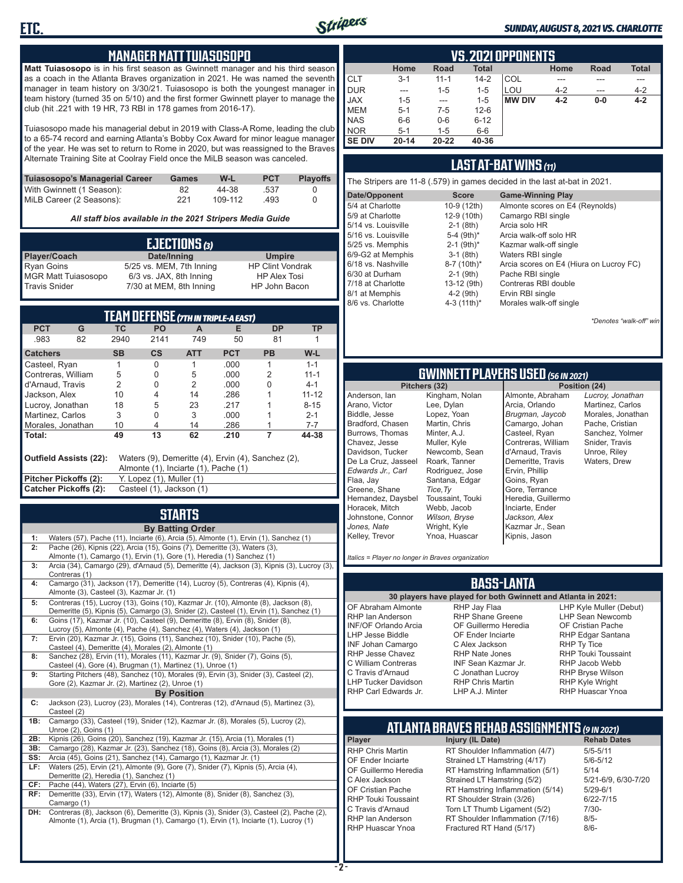

#### *SUNDAY, AUGUST 8, 2021 VS. CHARLOTTE*

#### **MANAGER MATT TUIASOSOPO**

**Matt Tuiasosopo** is in his first season as Gwinnett manager and his third season as a coach in the Atlanta Braves organization in 2021. He was named the seventh manager in team history on 3/30/21. Tuiasosopo is both the youngest manager in team history (turned 35 on 5/10) and the first former Gwinnett player to manage the club (hit .221 with 19 HR, 73 RBI in 178 games from 2016-17).

Tuiasosopo made his managerial debut in 2019 with Class-A Rome, leading the club to a 65-74 record and earning Atlanta's Bobby Cox Award for minor league manager of the year. He was set to return to Rome in 2020, but was reassigned to the Braves Alternate Training Site at Coolray Field once the MiLB season was canceled.

| Tuiasosopo's Managerial Career | Games | W-L     | <b>PCT</b> | <b>Plavoffs</b> |
|--------------------------------|-------|---------|------------|-----------------|
| With Gwinnett (1 Season):      | 82    | 44-38   | .537       |                 |
| MiLB Career (2 Seasons):       | 221   | 109-112 | .493       |                 |

*All staff bios available in the 2021 Stripers Media Guide*

| EJECTIONS (3)              |                          |                         |  |  |  |
|----------------------------|--------------------------|-------------------------|--|--|--|
| Player/Coach               | Date/Inning              | <b>Umpire</b>           |  |  |  |
| <b>Ryan Goins</b>          | 5/25 vs. MEM, 7th Inning | <b>HP Clint Vondrak</b> |  |  |  |
| <b>MGR Matt Tuiasosopo</b> | 6/3 vs. JAX, 8th Inning  | <b>HP Alex Tosi</b>     |  |  |  |
| <b>Travis Snider</b>       | 7/30 at MEM, 8th Inning  | HP John Bacon           |  |  |  |

| TEAM DEFENSE (7TH IN TRIPLE-A EAST)                                                                                  |    |                          |                          |                |            |           |           |
|----------------------------------------------------------------------------------------------------------------------|----|--------------------------|--------------------------|----------------|------------|-----------|-----------|
| <b>PCT</b>                                                                                                           | G  | ТC                       | <b>PO</b>                | A              | Е          | <b>DP</b> | ТP        |
| .983                                                                                                                 | 82 | 2940                     | 2141                     | 749            | 50         | 81        |           |
| <b>Catchers</b>                                                                                                      |    | <b>SB</b>                | $\mathsf{cs}$            | <b>ATT</b>     | <b>PCT</b> | <b>PB</b> | W-L       |
| Casteel, Ryan                                                                                                        |    |                          | 0                        |                | .000       |           | $1 - 1$   |
| Contreras, William                                                                                                   |    | 5                        | 0                        | 5              | .000       | 2         | $11 - 1$  |
| d'Arnaud, Travis                                                                                                     |    | 2                        | O                        | $\mathfrak{p}$ | .000       | 0         | $4 - 1$   |
| Jackson, Alex                                                                                                        |    | 10                       | 4                        | 14             | .286       |           | $11 - 12$ |
| Lucroy, Jonathan                                                                                                     |    | 18                       | 5                        | 23             | .217       |           | $8 - 15$  |
| Martinez. Carlos                                                                                                     |    | 3                        | 0                        | 3              | .000       |           | $2 - 1$   |
| Morales, Jonathan                                                                                                    |    | 10                       | 4                        | 14             | .286       |           | $7 - 7$   |
| Total:                                                                                                               |    | 49                       | 13                       | 62             | .210       | 7         | 44-38     |
| Outfield Assists (22):<br>Waters (9), Demeritte (4), Ervin (4), Sanchez (2),<br>Almonte (1), Inciarte (1), Pache (1) |    |                          |                          |                |            |           |           |
| Pitcher Pickoffs (2):                                                                                                |    |                          | Y. Lopez (1), Muller (1) |                |            |           |           |
| Catcher Pickoffs (2):                                                                                                |    | Casteel (1), Jackson (1) |                          |                |            |           |           |

# **STARTS**

|     | <b>By Batting Order</b>                                                                     |
|-----|---------------------------------------------------------------------------------------------|
| 1:  | Waters (57), Pache (11), Inciarte (6), Arcia (5), Almonte (1), Ervin (1), Sanchez (1)       |
| 2:  | Pache (26), Kipnis (22), Arcia (15), Goins (7), Demeritte (3), Waters (3),                  |
|     | Almonte (1), Camargo (1), Ervin (1), Gore (1), Heredia (1) Sanchez (1)                      |
| 3:  | Arcia (34), Camargo (29), d'Arnaud (5), Demeritte (4), Jackson (3), Kipnis (3), Lucroy (3), |
|     | Contreras (1)                                                                               |
| 4:  | Camargo (31), Jackson (17), Demeritte (14), Lucroy (5), Contreras (4), Kipnis (4),          |
|     | Almonte (3), Casteel (3), Kazmar Jr. (1)                                                    |
| 5:  | Contreras (15), Lucroy (13), Goins (10), Kazmar Jr. (10), Almonte (8), Jackson (8),         |
|     | Demeritte (5), Kipnis (5), Camargo (3), Snider (2), Casteel (1), Ervin (1), Sanchez (1)     |
| 6:  | Goins (17), Kazmar Jr. (10), Casteel (9), Demeritte (8), Ervin (8), Snider (8),             |
|     | Lucroy (5), Almonte (4), Pache (4), Sanchez (4), Waters (4), Jackson (1)                    |
| 7:  | Ervin (20), Kazmar Jr. (15), Goins (11), Sanchez (10), Snider (10), Pache (5),              |
|     | Casteel (4), Demeritte (4), Morales (2), Almonte (1)                                        |
| 8:  | Sanchez (28), Ervin (11), Morales (11), Kazmar Jr. (9), Snider (7), Goins (5),              |
|     | Casteel (4), Gore (4), Brugman (1), Martinez (1), Unroe (1)                                 |
| 9:  | Starting Pitchers (48), Sanchez (10), Morales (9), Ervin (3), Snider (3), Casteel (2),      |
|     | Gore (2), Kazmar Jr. (2), Martinez (2), Unroe (1)                                           |
|     | <b>By Position</b>                                                                          |
| C:  | Jackson (23), Lucroy (23), Morales (14), Contreras (12), d'Arnaud (5), Martinez (3),        |
|     | Casteel (2)                                                                                 |
| 1B: | Camargo (33), Casteel (19), Snider (12), Kazmar Jr. (8), Morales (5), Lucroy (2),           |
|     | Unroe (2), Goins (1)                                                                        |
| 2B: | Kipnis (26), Goins (20), Sanchez (19), Kazmar Jr. (15), Arcia (1), Morales (1)              |
| 3B: | Camargo (28), Kazmar Jr. (23), Sanchez (18), Goins (8), Arcia (3), Morales (2)              |
| SS: | Arcia (45), Goins (21), Sanchez (14), Camargo (1), Kazmar Jr. (1)                           |
| LF: | Waters (25), Ervin (21), Almonte (9), Gore (7), Snider (7), Kipnis (5), Arcia (4),          |
|     | Demeritte (2), Heredia (1), Sanchez (1)                                                     |
| CF: | Pache (44), Waters (27), Ervin (6), Inciarte (5)                                            |
| RF: | Demeritte (33), Ervin (17), Waters (12), Almonte (8), Snider (8), Sanchez (3),              |
|     | Camargo (1)                                                                                 |
| DH: | Contreras (8), Jackson (6), Demeritte (3), Kipnis (3), Snider (3), Casteel (2), Pache (2),  |
|     | Almonte (1), Arcia (1), Brugman (1), Camargo (1), Ervin (1), Inciarte (1), Lucroy (1)       |
|     |                                                                                             |
|     |                                                                                             |

|               | VS. 2021 OPPONENTS                                                         |          |          |               |         |       |         |  |  |  |  |  |  |  |
|---------------|----------------------------------------------------------------------------|----------|----------|---------------|---------|-------|---------|--|--|--|--|--|--|--|
|               | <b>Total</b><br>Home<br><b>Total</b><br><b>Road</b><br>Home<br><b>Road</b> |          |          |               |         |       |         |  |  |  |  |  |  |  |
| <b>CLT</b>    | $3 - 1$                                                                    | $11 - 1$ | $14 - 2$ | COL           |         |       |         |  |  |  |  |  |  |  |
| <b>DUR</b>    | ---                                                                        | $1 - 5$  | $1 - 5$  | LOU           | $4 - 2$ | ---   | $4 - 2$ |  |  |  |  |  |  |  |
| <b>JAX</b>    | $1 - 5$                                                                    | ---      | $1 - 5$  | <b>MW DIV</b> | $4 - 2$ | $0-0$ | $4 - 2$ |  |  |  |  |  |  |  |
| <b>MEM</b>    | $5 - 1$                                                                    | $7-5$    | $12-6$   |               |         |       |         |  |  |  |  |  |  |  |
| <b>NAS</b>    | $6-6$                                                                      | $0-6$    | $6 - 12$ |               |         |       |         |  |  |  |  |  |  |  |
| <b>NOR</b>    | $5 - 1$                                                                    | $1 - 5$  | $6-6$    |               |         |       |         |  |  |  |  |  |  |  |
| <b>SE DIV</b> | $20 - 14$                                                                  | 20-22    | 40-36    |               |         |       |         |  |  |  |  |  |  |  |

#### **LAST AT-BAT WINS** *(11)*

| The Stripers are 11-8 (.579) in games decided in the last at-bat in 2021. |                          |                                         |  |  |  |  |  |  |  |
|---------------------------------------------------------------------------|--------------------------|-----------------------------------------|--|--|--|--|--|--|--|
| Date/Opponent                                                             | <b>Score</b>             | <b>Game-Winning Play</b>                |  |  |  |  |  |  |  |
| 5/4 at Charlotte                                                          | 10-9 (12th)              | Almonte scores on E4 (Reynolds)         |  |  |  |  |  |  |  |
| 5/9 at Charlotte                                                          | 12-9 (10th)              | Camargo RBI single                      |  |  |  |  |  |  |  |
| 5/14 vs. Louisville                                                       | $2-1$ (8th)              | Arcia solo HR                           |  |  |  |  |  |  |  |
| 5/16 vs. Louisville                                                       | 5-4 (9th)*               | Arcia walk-off solo HR                  |  |  |  |  |  |  |  |
| 5/25 vs. Memphis                                                          | $2-1$ (9th) <sup>*</sup> | Kazmar walk-off single                  |  |  |  |  |  |  |  |
| 6/9-G2 at Memphis                                                         | $3-1$ (8th)              | Waters RBI single                       |  |  |  |  |  |  |  |
| 6/18 vs. Nashville                                                        | 8-7 (10th)*              | Arcia scores on E4 (Hiura on Lucroy FC) |  |  |  |  |  |  |  |
| 6/30 at Durham                                                            | $2-1$ (9th)              | Pache RBI single                        |  |  |  |  |  |  |  |
| 7/18 at Charlotte                                                         | 13-12 (9th)              | Contreras RBI double                    |  |  |  |  |  |  |  |
| 8/1 at Memphis                                                            | $4-2$ (9th)              | Ervin RBI single                        |  |  |  |  |  |  |  |
| 8/6 vs. Charlotte                                                         | 4-3 $(11th)^*$           | Morales walk-off single                 |  |  |  |  |  |  |  |

*\*Denotes "walk-off" win*

# **GWINNETT PLAYERS USED** *(56 IN 2021)*

**Pitchers (32)** Anderson, Ian Arano, Victor Biddle, Jesse Bradford, Chasen Burrows, Thomas Chavez, Jesse Davidson, Tucker De La Cruz, Jasseel *Edwards Jr., Carl* Flaa, Jay Greene, Shane Hernandez, Daysbel Horacek, Mitch Johnstone, Connor *Jones, Nate* Kelley, Trevor *Tice,Ty*

Kingham, Nolan Lee, Dylan Lopez, Yoan Martin, Chris Minter, A.J. Muller, Kyle Newcomb, Sean Roark, Tanner Rodriguez, Jose Santana, Edgar Toussaint, Touki Webb, Jacob *Wilson, Bryse* Wright, Kyle Ynoa, Huascar

Almonte, Abraham Arcia, Orlando *Brugman, Jaycob* Camargo, Johan Casteel, Ryan Contreras, William d'Arnaud, Travis Demeritte, Travis Ervin, Phillip Goins, Ryan Gore, Terrance Heredia, Guillermo Inciarte, Ender *Jackson, Alex* Kazmar Jr., Sean Kipnis, Jason

*Lucroy, Jonathan* Martinez, Carlos Morales, Jonathan Pache, Cristian Sanchez, Yolmer Snider, Travis Unroe, Riley Waters, Drew

*Italics = Player no longer in Braves organization*

#### **BASS-LANTA**

OF Abraham Almonte RHP Ian Anderson INF/OF Orlando Arcia LHP Jesse Biddle INF Johan Camargo RHP Jesse Chavez C William Contreras C Travis d'Arnaud LHP Tucker Davidson RHP Carl Edwards Jr.

**30 players have played for both Gwinnett and Atlanta in 2021:** RHP Jay Flaa RHP Shane Greene OF Guillermo Heredia OF Ender Inciarte C Alex Jackson RHP Nate Jones INF Sean Kazmar Jr. C Jonathan Lucroy RHP Chris Martin LHP A.J. Minter

LHP Kyle Muller (Debut) LHP Sean Newcomb OF Cristian Pache RHP Edgar Santana RHP Ty Tice RHP Touki Toussaint RHP Jacob Webb RHP Bryse Wilson RHP Kyle Wright RHP Huascar Ynoa

# **ATLANTA BRAVES REHAB ASSIGNMENTS** *(9 IN 2021)*

**Player Injury (IL Date)** 

RHP Chris Martin RT Shoulder Inflammation (4/7) 5/5-5/11<br>CF Ender Inciarte Strained I T Hamstring (4/17) 5/6-5/12 OF Ender Inciarte Strained LT Hamstring (4/17) 5/6-5<br>OF Guillermo Heredia RT Hamstring Inflammation (5/1) 5/14 OF Guillermo Heredia RT Hamstring Inflammation (5/1) 5/14<br>C Alex Jackson Strained LT Hamstring (5/2) 5/21-6/9, 6/30-7/20 C Alex Jackson Strained LT Hamstring (5/2) 5/21-6/9<br>OF Cristian Pache RT Hamstring Inflammation (5/14) 5/29-6/1 OF Cristian Pache RT Hamstring Inflammation (5/14)<br>RHP Touki Toussaint RT Shoulder Strain (3/26) RHP Touki Toussaint RT Shoulder Strain (3/26) 6/22-7/15<br>C Travis d'Arnaud Torn LT Thumb Ligament (5/2) 7/30-C Travis d'Arnaud Torn LT Thumb Ligament (5/2) 7/30<br>RHP Ian Anderson RT Shoulder Inflammation (7/16) 8/5-RHP Ian Anderson FRT Shoulder Inflammation (7/16)<br>RHP Huascar Ynoa Fractured RT Hand (5/17) Fractured RT Hand (5/17) 8/6-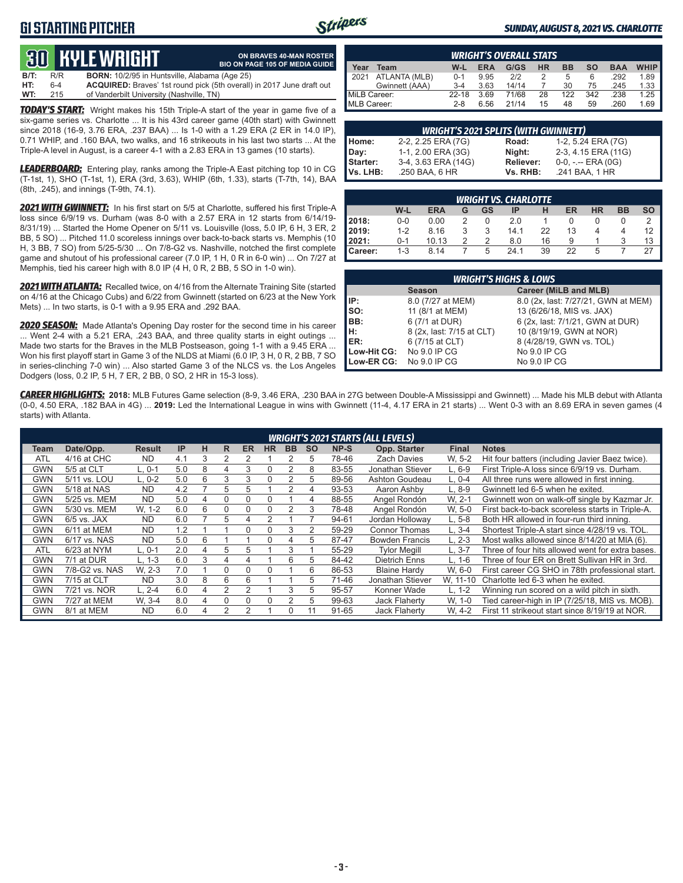### **G1 STARTING PITCHER**



**ON BRAVES 40-MAN ROSTER**

#### *SUNDAY, AUGUST 8, 2021 VS. CHARLOTTE*

# **30****KYLE WRIGHT**

|      |       | <b>QUELITEL WINDER</b>                               | <b>BIO ON PAGE 105 OF MEDIA GUIDE</b>                                 |
|------|-------|------------------------------------------------------|-----------------------------------------------------------------------|
| B/T: | R/R   | <b>BORN:</b> 10/2/95 in Huntsville, Alabama (Age 25) |                                                                       |
| HT:  | $6-4$ |                                                      | ACQUIRED: Braves' 1st round pick (5th overall) in 2017 June draft out |
| WT:  | 215   | of Vanderbilt University (Nashville, TN)             |                                                                       |

*TODAY'S START:* Wright makes his 15th Triple-A start of the year in game five of a six-game series vs. Charlotte ... It is his 43rd career game (40th start) with Gwinnett since 2018 (16-9, 3.76 ERA, .237 BAA) ... Is 1-0 with a 1.29 ERA (2 ER in 14.0 IP), 0.71 WHIP, and .160 BAA, two walks, and 16 strikeouts in his last two starts ... At the Triple-A level in August, is a career 4-1 with a 2.83 ERA in 13 games (10 starts).

*LEADERBOARD:* Entering play, ranks among the Triple-A East pitching top 10 in CG (T-1st, 1), SHO (T-1st, 1), ERA (3rd, 3.63), WHIP (6th, 1.33), starts (T-7th, 14), BAA (8th, .245), and innings (T-9th, 74.1).

*2021 WITH GWINNETT:* In his first start on 5/5 at Charlotte, suffered his first Triple-A loss since 6/9/19 vs. Durham (was 8-0 with a 2.57 ERA in 12 starts from 6/14/19- 8/31/19) ... Started the Home Opener on 5/11 vs. Louisville (loss, 5.0 IP, 6 H, 3 ER, 2 BB, 5 SO) ... Pitched 11.0 scoreless innings over back-to-back starts vs. Memphis (10 H, 3 BB, 7 SO) from 5/25-5/30 ... On 7/8-G2 vs. Nashville, notched the first complete game and shutout of his professional career (7.0 IP, 1 H, 0 R in 6-0 win) ... On 7/27 at Memphis, tied his career high with 8.0 IP (4 H, 0 R, 2 BB, 5 SO in 1-0 win).

*2021 WITH ATLANTA:* Recalled twice, on 4/16 from the Alternate Training Site (started on 4/16 at the Chicago Cubs) and 6/22 from Gwinnett (started on 6/23 at the New York Mets) ... In two starts, is 0-1 with a 9.95 ERA and .292 BAA.

*2020 SEASON:* Made Atlanta's Opening Day roster for the second time in his career ... Went 2-4 with a 5.21 ERA, .243 BAA, and three quality starts in eight outings ... Made two starts for the Braves in the MLB Postseason, going 1-1 with a 9.45 ERA ... Won his first playoff start in Game 3 of the NLDS at Miami (6.0 IP, 3 H, 0 R, 2 BB, 7 SO in series-clinching 7-0 win) ... Also started Game 3 of the NLCS vs. the Los Angeles Dodgers (loss, 0.2 IP, 5 H, 7 ER, 2 BB, 0 SO, 2 HR in 15-3 loss).

|                                                                                                        | <b>WRIGHT'S OVERALL STATS</b> |           |      |       |    |     |     |      |      |  |  |  |  |
|--------------------------------------------------------------------------------------------------------|-------------------------------|-----------|------|-------|----|-----|-----|------|------|--|--|--|--|
| <b>WHIP</b><br>Year<br>G/GS<br><b>HR</b><br><b>BB</b><br><b>ERA</b><br>so<br><b>BAA</b><br>W-L<br>Team |                               |           |      |       |    |     |     |      |      |  |  |  |  |
| $\blacksquare$ 2021                                                                                    | ATLANTA (MLB)                 | $0 - 1$   | 9.95 | 2/2   |    | 5   | 6   | .292 | 1.89 |  |  |  |  |
|                                                                                                        | Gwinnett (AAA)                | $3 - 4$   | 3.63 | 14/14 |    | 30  | 75  | .245 | 1.33 |  |  |  |  |
| MiLB Career:                                                                                           |                               | $22 - 18$ | 3.69 | 71/68 | 28 | 122 | 342 | .238 | 1.25 |  |  |  |  |
| MLB Career:                                                                                            |                               | $2 - 8$   | 6.56 | 21/14 | 15 | 48  | 59  | .260 | 1.69 |  |  |  |  |

|          | <b>WRIGHT'S 2021 SPLITS (WITH GWINNETT)</b> |           |                       |  |  |  |  |  |  |  |  |
|----------|---------------------------------------------|-----------|-----------------------|--|--|--|--|--|--|--|--|
| Home:    | 2-2, 2.25 ERA (7G)                          | Road:     | 1-2, 5.24 ERA (7G)    |  |  |  |  |  |  |  |  |
| Day:     | 1-1, 2.00 ERA (3G)                          | Night:    | 2-3, 4.15 ERA (11G)   |  |  |  |  |  |  |  |  |
| Starter: | 3-4, 3.63 ERA (14G)                         | Reliever: | $0-0, - -$ ERA $(0G)$ |  |  |  |  |  |  |  |  |
| Vs. LHB: | .250 BAA, 6 HR                              | Vs. RHB:  | .241 BAA, 1 HR        |  |  |  |  |  |  |  |  |

|                | <b>WRIGHT VS. CHARLOTTE</b>                                       |       |   |   |      |    |    |   |  |    |  |  |  |  |  |
|----------------|-------------------------------------------------------------------|-------|---|---|------|----|----|---|--|----|--|--|--|--|--|
|                | W-L<br>ER<br><b>HR</b><br><b>ERA</b><br>ВB<br>GS<br>SΟ<br>ΙP<br>G |       |   |   |      |    |    |   |  |    |  |  |  |  |  |
| 2018:          | $0-0$                                                             | 0.00  |   |   | 2.0  |    |    |   |  |    |  |  |  |  |  |
| <b>2019:</b>   | $1 - 2$                                                           | 8.16  |   | 3 | 14.1 | 22 | 13 |   |  | 12 |  |  |  |  |  |
| 12021:         | $0 - 1$                                                           | 10.13 | っ | っ | 8.0  | 16 | 9  |   |  | 13 |  |  |  |  |  |
| <b>Career:</b> | $1 - 3$                                                           | 8.14  |   | 5 | 24 1 | 39 | 22 | 5 |  |    |  |  |  |  |  |

|             | <b>WRIGHT'S HIGHS &amp; LOWS</b> |                                     |  |  |  |  |  |  |  |  |  |
|-------------|----------------------------------|-------------------------------------|--|--|--|--|--|--|--|--|--|
|             | <b>Season</b>                    | Career (MiLB and MLB)               |  |  |  |  |  |  |  |  |  |
| IIP:        | 8.0 (7/27 at MEM)                | 8.0 (2x, last: 7/27/21, GWN at MEM) |  |  |  |  |  |  |  |  |  |
| so:         | 11 (8/1 at MEM)                  | 13 (6/26/18, MIS vs. JAX)           |  |  |  |  |  |  |  |  |  |
| BB:         | 6 (7/1 at DUR)                   | 6 (2x, last: 7/1/21, GWN at DUR)    |  |  |  |  |  |  |  |  |  |
| H:          | 8 (2x, last: 7/15 at CLT)        | 10 (8/19/19, GWN at NOR)            |  |  |  |  |  |  |  |  |  |
| <b>IER:</b> | 6 (7/15 at CLT)                  | 8 (4/28/19, GWN vs. TOL)            |  |  |  |  |  |  |  |  |  |
| Low-Hit CG: | No 9.0 IP CG                     | No 9.0 IP CG                        |  |  |  |  |  |  |  |  |  |
| Low-ER CG:  | No 9.0 IP CG                     | No 9.0 IP CG                        |  |  |  |  |  |  |  |  |  |

*CAREER HIGHLIGHTS:* **2018:** MLB Futures Game selection (8-9, 3.46 ERA, .230 BAA in 27G between Double-A Mississippi and Gwinnett) ... Made his MLB debut with Atlanta (0-0, 4.50 ERA, .182 BAA in 4G) ... **2019:** Led the International League in wins with Gwinnett (11-4, 4.17 ERA in 21 starts) ... Went 0-3 with an 8.69 ERA in seven games (4 starts) with Atlanta.

|            |                |               |     |   |   |           |           |           |           |       | <b>WRIGHT'S 2021 STARTS (ALL LEVELS)</b> |              |                                                  |
|------------|----------------|---------------|-----|---|---|-----------|-----------|-----------|-----------|-------|------------------------------------------|--------------|--------------------------------------------------|
| Team       | Date/Opp.      | <b>Result</b> | IP  | н | R | <b>ER</b> | <b>HR</b> | <b>BB</b> | <b>SO</b> | NP-S  | Opp. Starter                             | <b>Final</b> | <b>Notes</b>                                     |
| <b>ATL</b> | 4/16 at CHC    | <b>ND</b>     | 4.1 | 3 |   |           |           |           | 5.        | 78-46 | <b>Zach Davies</b>                       | W. 5-2       | Hit four batters (including Javier Baez twice).  |
| <b>GWN</b> | 5/5 at CLT     | L. 0-1        | 5.0 | 8 | 4 | 3         | $\Omega$  | 2         | 8         | 83-55 | Jonathan Stiever                         | $L.6-9$      | First Triple-A loss since 6/9/19 vs. Durham.     |
| <b>GWN</b> | 5/11 vs. LOU   | L. 0-2        | 5.0 | 6 | 3 | 3         | $\Omega$  |           | 5         | 89-56 | Ashton Goudeau                           | L. 0-4       | All three runs were allowed in first inning.     |
| <b>GWN</b> | 5/18 at NAS    | <b>ND</b>     | 4.2 |   | 5 | 5         |           |           | 4         | 93-53 | Aaron Ashby                              | $L.8-9$      | Gwinnett led 6-5 when he exited.                 |
| <b>GWN</b> | 5/25 vs. MEM   | <b>ND</b>     | 5.0 | 4 | 0 | 0         |           |           | 4         | 88-55 | Angel Rondón                             | W. 2-1       | Gwinnett won on walk-off single by Kazmar Jr.    |
| <b>GWN</b> | 5/30 vs. MEM   | W. 1-2        | 6.0 | 6 | 0 | 0         | $\Omega$  |           | 3         | 78-48 | Angel Rondón                             | W. 5-0       | First back-to-back scoreless starts in Triple-A. |
| <b>GWN</b> | $6/5$ vs. JAX  | <b>ND</b>     | 6.0 |   | 5 | 4         | 2         |           |           | 94-61 | Jordan Hollowav                          | $L.5-8$      | Both HR allowed in four-run third inning.        |
| <b>GWN</b> | 6/11 at MEM    | <b>ND</b>     | 1.2 |   |   | $\Omega$  | 0         | 3         | 2         | 59-29 | <b>Connor Thomas</b>                     | $L.3-4$      | Shortest Triple-A start since 4/28/19 vs. TOL.   |
| <b>GWN</b> | 6/17 vs. NAS   | <b>ND</b>     | 5.0 | 6 |   |           | $\Omega$  | 4         | 5         | 87-47 | <b>Bowden Francis</b>                    | $L. 2-3$     | Most walks allowed since 8/14/20 at MIA (6).     |
| <b>ATL</b> | 6/23 at NYM    | L. 0-1        | 2.0 | 4 | 5 | 5         |           | 3         |           | 55-29 | <b>Tvlor Meaill</b>                      | 3-7          | Three of four hits allowed went for extra bases. |
| <b>GWN</b> | 7/1 at DUR     | L. 1-3        | 6.0 | 3 | 4 | 4         |           | 6         | 5         | 84-42 | <b>Dietrich Enns</b>                     | $L. 1-6$     | Three of four ER on Brett Sullivan HR in 3rd.    |
| <b>GWN</b> | 7/8-G2 vs. NAS | W. 2-3        | 7.0 |   | 0 | 0         | $\Omega$  |           | 6         | 86-53 | <b>Blaine Hardy</b>                      | W. 6-0       | First career CG SHO in 78th professional start.  |
| <b>GWN</b> | 7/15 at CLT    | <b>ND</b>     | 3.0 | 8 | 6 | 6         |           |           | 5         | 71-46 | Jonathan Stiever                         | W. 11-10     | Charlotte led 6-3 when he exited.                |
| <b>GWN</b> | 7/21 vs. NOR   | L. 2-4        | 6.0 | 4 | 2 | 2         |           | 3         | 5         | 95-57 | Konner Wade                              | $L. 1-2$     | Winning run scored on a wild pitch in sixth.     |
| <b>GWN</b> | 7/27 at MEM    | W. 3-4        | 8.0 | 4 | 0 | $\Omega$  | $\Omega$  |           | 5         | 99-63 | Jack Flaherty                            | W. 1-0       | Tied career-high in IP (7/25/18, MIS vs. MOB).   |
| <b>GWN</b> | 8/1 at MEM     | <b>ND</b>     | 6.0 | 4 | 2 |           |           | $\Omega$  | 11        | 91-65 | Jack Flaherty                            | W. 4-2       | First 11 strikeout start since 8/19/19 at NOR.   |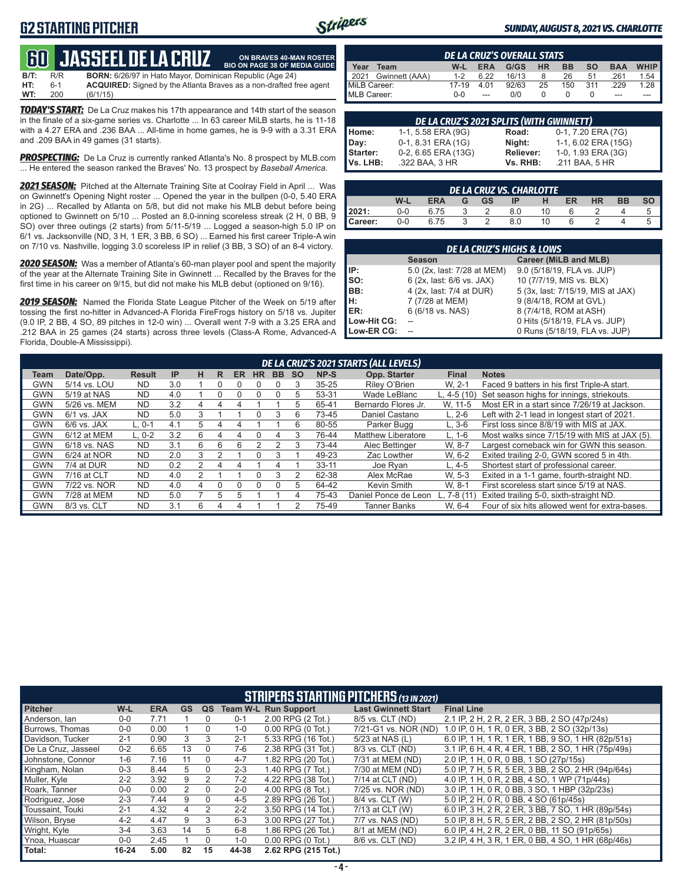### **G2 STARTING PITCHER**



**ON BRAVES 40-MAN ROSTER**

#### *SUNDAY, AUGUST 8, 2021 VS. CHARLOTTE*

### **60****JASSEEL DE LA CRUZ**

**B/T:** R/R **BORN:** 6/26/97 in Hato Mayor, Dominican Republic (Age 24)<br>**HT:** 6-1 **ACQUIRED:** Signed by the Atlanta Braves as a non-drafted f **HT:** 6-1 **ACQUIRED:** Signed by the Atlanta Braves as a non-drafted free agent **WT:** 200 (6/1/15) **BIO ON PAGE 38 OF MEDIA GUIDE**

*TODAY'S START:* De La Cruz makes his 17th appearance and 14th start of the season in the finale of a six-game series vs. Charlotte ... In 63 career MiLB starts, he is 11-18 with a 4.27 ERA and .236 BAA ... All-time in home games, he is 9-9 with a 3.31 ERA and .209 BAA in 49 games (31 starts).

*PROSPECTING:* De La Cruz is currently ranked Atlanta's No. 8 prospect by MLB.com ... He entered the season ranked the Braves' No. 13 prospect by *Baseball America*.

*2021 SEASON:* Pitched at the Alternate Training Site at Coolray Field in April ... Was on Gwinnett's Opening Night roster ... Opened the year in the bullpen (0-0, 5.40 ERA in 2G) ... Recalled by Atlanta on 5/8, but did not make his MLB debut before being optioned to Gwinnett on 5/10 ... Posted an 8.0-inning scoreless streak (2 H, 0 BB, 9 SO) over three outings (2 starts) from 5/11-5/19 ... Logged a season-high 5.0 IP on 6/1 vs. Jacksonville (ND, 3 H, 1 ER, 3 BB, 6 SO) ... Earned his first career Triple-A win on 7/10 vs. Nashville, logging 3.0 scoreless IP in relief (3 BB, 3 SO) of an 8-4 victory.

*2020 SEASON:* Was a member of Atlanta's 60-man player pool and spent the majority of the year at the Alternate Training Site in Gwinnett ... Recalled by the Braves for the first time in his career on 9/15, but did not make his MLB debut (optioned on 9/16).

*2019 SEASON:* Named the Florida State League Pitcher of the Week on 5/19 after tossing the first no-hitter in Advanced-A Florida FireFrogs history on 5/18 vs. Jupiter (9.0 IP, 2 BB, 4 SO, 89 pitches in 12-0 win) ... Overall went 7-9 with a 3.25 ERA and .212 BAA in 25 games (24 starts) across three levels (Class-A Rome, Advanced-A Florida, Double-A Mississippi).

| <b>DE LA CRUZ'S OVERALL STATS</b> |         |            |       |           |           |           |            |             |  |  |  |  |
|-----------------------------------|---------|------------|-------|-----------|-----------|-----------|------------|-------------|--|--|--|--|
| Year<br>Team                      | W-L     | <b>ERA</b> | G/GS  | <b>HR</b> | <b>BB</b> | <b>SO</b> | <b>BAA</b> | <b>WHIP</b> |  |  |  |  |
| 2021 Gwinnett (AAA)               | $1 - 2$ | 6.22       | 16/13 | 8         | 26        | 51        | .261       | $1.54$      |  |  |  |  |
| MiLB Career:                      | 17-19   | 4.01       | 92/63 | 25        | 150       | 311       | .229       | 1.28        |  |  |  |  |
| MLB Career:                       | $0 - 0$ |            | 0/0   |           |           |           | ---        |             |  |  |  |  |

|          | DE LA CRUZ'S 2021 SPLITS (WITH GWINNETT) |           |                     |  |  |  |  |  |  |  |  |  |
|----------|------------------------------------------|-----------|---------------------|--|--|--|--|--|--|--|--|--|
| Home:    | 1-1, 5.58 ERA (9G)                       | Road:     | 0-1, 7.20 ERA (7G)  |  |  |  |  |  |  |  |  |  |
| Day:     | 0-1, 8.31 ERA (1G)                       | Night:    | 1-1, 6.02 ERA (15G) |  |  |  |  |  |  |  |  |  |
| Starter: | 0-2, 6.65 ERA (13G)                      | Reliever: | 1-0, 1.93 ERA (3G)  |  |  |  |  |  |  |  |  |  |
| Vs. LHB: | .322 BAA, 3 HR                           | Vs. RHB:  | .211 BAA, 5 HR      |  |  |  |  |  |  |  |  |  |

| <b>DE LA CRUZ VS. CHARLOTTE</b> |                                                                               |      |    |               |     |    |  |  |  |  |  |  |  |
|---------------------------------|-------------------------------------------------------------------------------|------|----|---------------|-----|----|--|--|--|--|--|--|--|
|                                 | so I<br><b>BB</b><br>W-L<br><b>HR</b><br>GS .<br><b>ERA</b><br>ER<br>-IP<br>G |      |    |               |     |    |  |  |  |  |  |  |  |
| 2021:                           | $0-0$                                                                         | 6.75 |    |               | 8.0 | 10 |  |  |  |  |  |  |  |
| Career:                         | $0 - 0$                                                                       | 6.75 | ્ર | $\mathcal{D}$ | 8.0 | 10 |  |  |  |  |  |  |  |

| <b>DE LA CRUZ'S HIGHS &amp; LOWS</b> |                             |                                   |  |  |  |  |  |  |  |
|--------------------------------------|-----------------------------|-----------------------------------|--|--|--|--|--|--|--|
|                                      | <b>Season</b>               | Career (MiLB and MLB)             |  |  |  |  |  |  |  |
| IP:                                  | 5.0 (2x, last: 7/28 at MEM) | 9.0 (5/18/19, FLA vs. JUP)        |  |  |  |  |  |  |  |
| SO:                                  | 6 (2x, last: 6/6 vs. JAX)   | 10 (7/7/19, MIS vs. BLX)          |  |  |  |  |  |  |  |
| BB:                                  | 4 (2x, last: 7/4 at DUR)    | 5 (3x, last: 7/15/19, MIS at JAX) |  |  |  |  |  |  |  |
| н:                                   | 7 (7/28 at MEM)             | 9 (8/4/18, ROM at GVL)            |  |  |  |  |  |  |  |
| ER:                                  | 6 (6/18 vs. NAS)            | 8 (7/4/18, ROM at ASH)            |  |  |  |  |  |  |  |
| Low-Hit CG:                          |                             | 0 Hits (5/18/19, FLA vs. JUP)     |  |  |  |  |  |  |  |
| Low-ER CG:                           |                             | 0 Runs (5/18/19, FLA vs. JUP)     |  |  |  |  |  |  |  |

|            | DE LA CRUZ'S 2021 STARTS (ALL LEVELS) |               |           |   |   |              |           |           |           |           |                      |              |                                                |  |
|------------|---------------------------------------|---------------|-----------|---|---|--------------|-----------|-----------|-----------|-----------|----------------------|--------------|------------------------------------------------|--|
| Team       | Date/Opp.                             | <b>Result</b> | <b>IP</b> | н | R | ER           | <b>HR</b> | <b>BB</b> | <b>SO</b> | NP-S      | Opp. Starter         | <b>Final</b> | <b>Notes</b>                                   |  |
| GWN        | 5/14 vs. LOU                          | <b>ND</b>     | 3.0       |   |   |              |           |           | 3         | $35 - 25$ | Riley O'Brien        | W. 2-1       | Faced 9 batters in his first Triple-A start.   |  |
| GWN        | 5/19 at NAS                           | <b>ND</b>     | 4.0       |   |   |              |           |           | 5         | 53-31     | Wade LeBlanc         | L. $4-5(10)$ | Set season highs for innings, striekouts.      |  |
| GWN        | 5/26 vs. MEM                          | <b>ND</b>     | 3.2       |   |   |              |           |           | 5         | 65-41     | Bernardo Flores Jr.  | W. 11-5      | Most ER in a start since 7/26/19 at Jackson.   |  |
| <b>GWN</b> | $6/1$ vs. JAX                         | <b>ND</b>     | 5.0       |   |   |              |           | 3         | 6         | 73-45     | Daniel Castano       | $L. 2-6$     | Left with 2-1 lead in longest start of 2021.   |  |
| GWN        | $6/6$ vs. JAX                         | $L, 0-1$      | 4.1       | 5 |   |              |           |           | 6         | 80-55     | Parker Bugg          | $L, 3-6$     | First loss since 8/8/19 with MIS at JAX.       |  |
| GWN        | 6/12 at MEM                           | $L.0-2$       | 3.2       | 6 |   |              |           |           | 3         | 76-44     | Matthew Liberatore   | $L. 1-6$     | Most walks since 7/15/19 with MIS at JAX (5).  |  |
| GWN        | 6/18 vs. NAS                          | <b>ND</b>     | 3.1       | ĥ | ൳ | ĥ            |           |           | 3         | 73-44     | Alec Bettinger       | W. 8-7       | Largest comeback win for GWN this season.      |  |
| GWN        | 6/24 at NOR                           | <b>ND</b>     | 2.0       |   |   |              |           |           |           | 49-23     | Zac Lowther          | W. 6-2       | Exited trailing 2-0, GWN scored 5 in 4th.      |  |
| GWN        | 7/4 at DUR                            | <b>ND</b>     | 0.2       |   | 4 |              |           |           |           | $33 - 11$ | Joe Rvan             | $L.4-5$      | Shortest start of professional career.         |  |
| GWN        | 7/16 at CLT                           | <b>ND</b>     | 4.0       |   |   |              |           | 3         |           | 62-38     | Alex McRae           | W. 5-3       | Exited in a 1-1 game, fourth-straight ND.      |  |
| <b>GWN</b> | 7/22 vs. NOR                          | <b>ND</b>     | 4.0       |   |   |              |           | 0         | 5         | 64-42     | Kevin Smith          | W. 8-1       | First scoreless start since 5/19 at NAS.       |  |
| GWN        | 7/28 at MEM                           | <b>ND</b>     | 5.0       |   | 5 | $\mathbf{b}$ |           |           | 4         | 75-43     | Daniel Ponce de Leon | L, $7-8(11)$ | Exited trailing 5-0, sixth-straight ND.        |  |
| GWN        | 8/3 vs. CLT                           | <b>ND</b>     | 3.1       | 6 |   |              |           |           |           | 75-49     | Tanner Banks         | W. 6-4       | Four of six hits allowed went for extra-bases. |  |

| <b>STRIPERS STARTING PITCHERS (13 IN 2021)</b> |           |            |                |               |         |                             |                            |                                                    |  |  |
|------------------------------------------------|-----------|------------|----------------|---------------|---------|-----------------------------|----------------------------|----------------------------------------------------|--|--|
| <b>Pitcher</b>                                 | $W-L$     | <b>ERA</b> | <b>GS</b>      | QS            |         | <b>Team W-L Run Support</b> | <b>Last Gwinnett Start</b> | <b>Final Line</b>                                  |  |  |
| Anderson, Ian                                  | $0 - 0$   | 7.71       |                |               | $0 - 1$ | 2.00 RPG (2 Tot.)           | 8/5 vs. CLT (ND)           | 2.1 IP, 2 H, 2 R, 2 ER, 3 BB, 2 SO (47p/24s)       |  |  |
| Burrows, Thomas                                | $0-0$     | 0.00       |                | 0             | $1 - 0$ | $0.00$ RPG $(0$ Tot.)       | 7/21-G1 vs. NOR (ND)       | 1.0 IP, 0 H, 1 R, 0 ER, 3 BB, 2 SO (32p/13s)       |  |  |
| Davidson, Tucker                               | $2 - 1$   | 0.90       | 3              | 3             | $2 - 1$ | 5.33 RPG (16 Tot.)          | 5/23 at NAS (L)            | 6.0 IP, 1 H, 1 R, 1 ER, 1 BB, 9 SO, 1 HR (82p/51s) |  |  |
| De La Cruz. Jasseel                            | $0 - 2$   | 6.65       | 13             | 0             | 7-6     | 2.38 RPG (31 Tot.)          | 8/3 vs. CLT (ND)           | 3.1 IP, 6 H, 4 R, 4 ER, 1 BB, 2 SO, 1 HR (75p/49s) |  |  |
| Johnstone, Connor                              | $1-6$     | 7.16       | 11             | 0             | $4 - 7$ | 1.82 RPG (20 Tot.)          | 7/31 at MEM (ND)           | 2.0 IP. 1 H. 0 R. 0 BB. 1 SO (27p/15s)             |  |  |
| Kingham, Nolan                                 | $0 - 3$   | 8.44       | 5              | 0             | $2 - 3$ | 1.40 RPG (7 Tot.)           | 7/30 at MEM (ND)           | 5.0 IP, 7 H, 5 R, 5 ER, 3 BB, 2 SO, 2 HR (94p/64s) |  |  |
| Muller, Kyle                                   | $2 - 2$   | 3.92       | 9              | $\mathcal{P}$ | $7 - 2$ | 4.22 RPG (38 Tot.)          | 7/14 at CLT (ND)           | 4.0 IP, 1 H, 0 R, 2 BB, 4 SO, 1 WP (71p/44s)       |  |  |
| Roark. Tanner                                  | $0-0$     | 0.00       | $\mathfrak{p}$ | 0             | $2 - 0$ | 4.00 RPG (8 Tot.)           | 7/25 vs. NOR (ND)          | 3.0 IP, 1 H, 0 R, 0 BB, 3 SO, 1 HBP (32p/23s)      |  |  |
| Rodriguez, Jose                                | $2 - 3$   | 7.44       | 9              | 0             | $4 - 5$ | 2.89 RPG (26 Tot.)          | 8/4 vs. CLT (W)            | 5.0 IP, 2 H, 0 R, 0 BB, 4 SO (61p/45s)             |  |  |
| Toussaint, Touki                               | $2 - 1$   | 4.32       | 4              | 2             | $2 - 2$ | 3.50 RPG (14 Tot.)          | 7/13 at CLT (W)            | 6.0 IP, 3 H, 2 R, 2 ER, 3 BB, 7 SO, 1 HR (89p/54s) |  |  |
| Wilson, Bryse                                  | $4 - 2$   | 4.47       | 9              | 3             | $6 - 3$ | 3.00 RPG (27 Tot.)          | 7/7 vs. NAS (ND)           | 5.0 IP, 8 H, 5 R, 5 ER, 2 BB, 2 SO, 2 HR (81p/50s) |  |  |
| Wright, Kyle                                   | $3 - 4$   | 3.63       | 14             | 5             | $6 - 8$ | 1.86 RPG (26 Tot.)          | 8/1 at MEM (ND)            | 6.0 IP, 4 H, 2 R, 2 ER, 0 BB, 11 SO (91p/65s)      |  |  |
| Ynoa, Huascar                                  | $0-0$     | 2.45       |                | 0             | $1 - 0$ | 0.00 RPG (0 Tot.)           | 8/6 vs. CLT (ND)           | 3.2 IP, 4 H, 3 R, 1 ER, 0 BB, 4 SO, 1 HR (68p/46s) |  |  |
| Total:                                         | $16 - 24$ | 5.00       | 82             | 15            | 44-38   | 2.62 RPG (215 Tot.)         |                            |                                                    |  |  |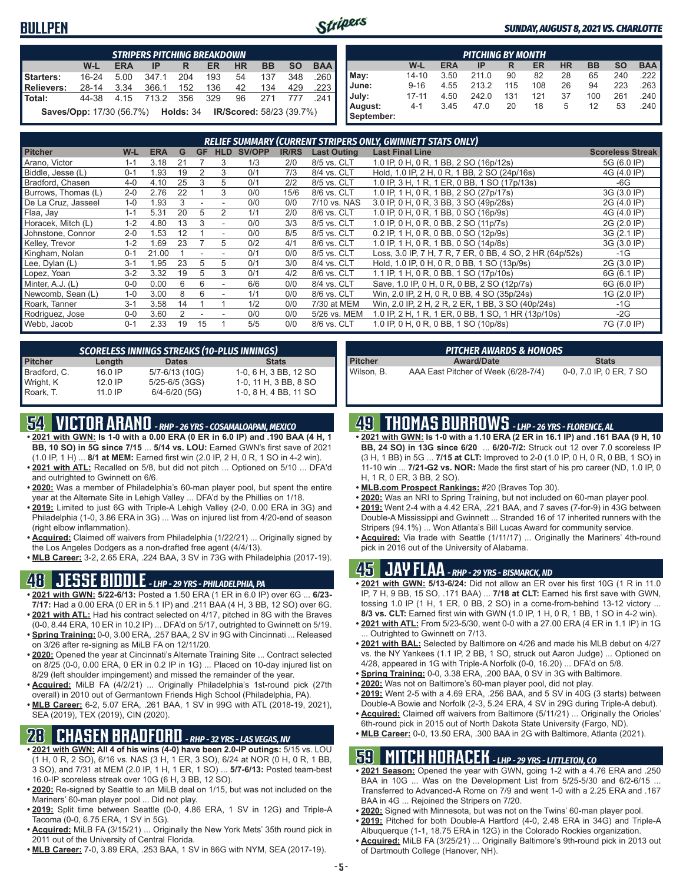#### **BULLPEN**



#### *SUNDAY, AUGUST 8, 2021 VS. CHARLOTTE*

|                   | <b>STRIPERS PITCHING BREAKDOWN</b>               |            |            |       |     |           |                                 |           |            |  |  |  |
|-------------------|--------------------------------------------------|------------|------------|-------|-----|-----------|---------------------------------|-----------|------------|--|--|--|
|                   | $W-L$                                            | <b>ERA</b> | IP         | R     | ER  | <b>HR</b> | <b>BB</b>                       | <b>SO</b> | <b>BAA</b> |  |  |  |
| Starters:         | $16 - 24$                                        | 5.00       | 347.1      | 204   | 193 | 54        | 137                             | 348       | .260       |  |  |  |
| <b>Relievers:</b> | 28-14                                            | 3.34       | 366.1      | 152   | 136 | 42        | 134                             | 429       | .223       |  |  |  |
| Total:            | 44-38                                            |            | 4.15 713.2 | - 356 | 329 | 96        | 271                             | 777       | -241       |  |  |  |
|                   | <b>Saves/Opp:</b> 17/30 (56.7%) <b>Holds:</b> 34 |            |            |       |     |           | <b>IR/Scored: 58/23 (39.7%)</b> |           |            |  |  |  |

| <b>PITCHING BY MONTH</b> |           |            |       |     |     |           |           |           |            |  |  |
|--------------------------|-----------|------------|-------|-----|-----|-----------|-----------|-----------|------------|--|--|
|                          | W-L       | <b>ERA</b> | IP    | R   | ER  | <b>HR</b> | <b>BB</b> | <b>SO</b> | <b>BAA</b> |  |  |
| May:                     | $14 - 10$ | 3.50       | 211.0 | 90  | 82  | 28        | 65        | 240       | 222        |  |  |
| June:                    | $9 - 16$  | 4.55       | 213.2 | 115 | 108 | 26        | 94        | 223       | 263        |  |  |
| July:                    | $17 - 11$ | 4.50       | 242.0 | 131 | 121 | 37        | 100       | 261       | .240       |  |  |
| August:<br>September:    | $4 - 1$   | 3.45       | 47.0  | 20  | 18  | 5         | 12        | 53        | .240       |  |  |

| RELIEF SUMMARY (CURRENT STRIPERS ONLY, GWINNETT STATS ONLY) |         |            |    |           |                          |               |              |                    |                                                          |                         |  |
|-------------------------------------------------------------|---------|------------|----|-----------|--------------------------|---------------|--------------|--------------------|----------------------------------------------------------|-------------------------|--|
| <b>Pitcher</b>                                              | W-L     | <b>ERA</b> | G  | <b>GF</b> | <b>HLD</b>               | <b>SV/OPP</b> | <b>IR/RS</b> | <b>Last Outing</b> | <b>Last Final Line</b>                                   | <b>Scoreless Streak</b> |  |
| Arano, Victor                                               | $1 - 1$ | 3.18       | 21 |           | 3                        | 1/3           | 2/0          | 8/5 vs. CLT        | 1.0 IP, 0 H, 0 R, 1 BB, 2 SO (16p/12s)                   | 5G (6.0 IP)             |  |
| Biddle, Jesse (L)                                           | $0 - 1$ | 1.93       | 19 | 2         | 3                        | 0/1           | 7/3          | 8/4 vs. CLT        | Hold, 1.0 IP, 2 H, 0 R, 1 BB, 2 SO (24p/16s)             | 4G (4.0 IP)             |  |
| Bradford, Chasen                                            | $4 - 0$ | 4.10       | 25 | 3         | 5                        | 0/1           | 2/2          | 8/5 vs. CLT        | 1.0 IP, 3 H, 1 R, 1 ER, 0 BB, 1 SO (17p/13s)             | $-6G$                   |  |
| Burrows, Thomas (L)                                         | $2 - 0$ | 2.76       | 22 |           | 3                        | 0/0           | 15/6         | 8/6 vs. CLT        | 1.0 IP, 1 H, 0 R, 1 BB, 2 SO (27p/17s)                   | 3G (3.0 IP)             |  |
| De La Cruz, Jasseel                                         | $1 - 0$ | 1.93       | 3  |           |                          | 0/0           | 0/0          | 7/10 vs. NAS       | 3.0 IP, 0 H, 0 R, 3 BB, 3 SO (49p/28s)                   | 2G (4.0 IP)             |  |
| Flaa, Jay                                                   | $1 - 1$ | 5.31       | 20 | 5         | 2                        | 1/1           | 2/0          | 8/6 vs. CLT        | 1.0 IP, 0 H, 0 R, 1 BB, 0 SO (16p/9s)                    | 4G (4.0 IP)             |  |
| Horacek, Mitch (L)                                          | $1 - 2$ | 4.80       | 13 | 3         |                          | 0/0           | 3/3          | 8/5 vs. CLT        | 1.0 IP, 0 H, 0 R, 0 BB, 2 SO (11p/7s)                    | 2G (2.0 IP)             |  |
| Johnstone, Connor                                           | $2 - 0$ | 1.53       | 12 |           |                          | 0/0           | 8/5          | 8/5 vs. CLT        | 0.2 IP, 1 H, 0 R, 0 BB, 0 SO (12p/9s)                    | 3G (2.1 IP)             |  |
| Kelley, Trevor                                              | $1 - 2$ | 1.69       | 23 |           | 5                        | 0/2           | 4/1          | 8/6 vs. CLT        | 1.0 IP, 1 H, 0 R, 1 BB, 0 SO (14p/8s)                    | 3G (3.0 IP)             |  |
| Kingham, Nolan                                              | $0 - 1$ | 21.00      |    |           |                          | 0/1           | 0/0          | 8/5 vs. CLT        | Loss, 3.0 IP, 7 H, 7 R, 7 ER, 0 BB, 4 SO, 2 HR (64p/52s) | -1G                     |  |
| Lee, Dylan (L)                                              | $3 - 1$ | 1.95       | 23 | 5         | 5                        | 0/1           | 3/0          | 8/4 vs. CLT        | Hold, 1.0 IP, 0 H, 0 R, 0 BB, 1 SO (13p/9s)              | 2G (3.0 IP)             |  |
| Lopez, Yoan                                                 | $3-2$   | 3.32       | 19 | 5         | 3                        | 0/1           | 4/2          | 8/6 vs. CLT        | 1.1 IP, 1 H, 0 R, 0 BB, 1 SO (17p/10s)                   | 6G (6.1 IP)             |  |
| Minter, A.J. (L)                                            | $0 - 0$ | 0.00       | 6  | 6         | $\overline{\phantom{a}}$ | 6/6           | 0/0          | 8/4 vs. CLT        | Save, 1.0 IP, 0 H, 0 R, 0 BB, 2 SO (12p/7s)              | 6G (6.0 IP)             |  |
| Newcomb, Sean (L)                                           | $1 - 0$ | 3.00       | 8  | 6         | $\overline{\phantom{a}}$ | 1/1           | 0/0          | 8/6 vs. CLT        | Win, 2.0 IP, 2 H, 0 R, 0 BB, 4 SO (35p/24s)              | 1G (2.0 IP)             |  |
| Roark, Tanner                                               | $3 - 1$ | 3.58       | 14 |           |                          | 1/2           | 0/0          | 7/30 at MEM        | Win, 2.0 IP, 2 H, 2 R, 2 ER, 1 BB, 3 SO (40p/24s)        | $-1G$                   |  |
| Rodriguez, Jose                                             | $0 - 0$ | 3.60       |    |           |                          | 0/0           | 0/0          | 5/26 vs. MEM       | 1.0 IP, 2 H, 1 R, 1 ER, 0 BB, 1 SO, 1 HR (13p/10s)       | -2G                     |  |
| Webb, Jacob                                                 | $0 - 1$ | 2.33       | 19 | 15        |                          | 5/5           | 0/0          | 8/6 vs. CLT        | 1.0 IP, 0 H, 0 R, 0 BB, 1 SO (10p/8s)                    | 7G (7.0 IP)             |  |

| <b>SCORELESS INNINGS STREAKS (10-PLUS INNINGS)</b> |         |                    |                       |  |  |  |  |  |  |  |  |
|----------------------------------------------------|---------|--------------------|-----------------------|--|--|--|--|--|--|--|--|
| <b>Pitcher</b>                                     | Length  | <b>Dates</b>       | <b>Stats</b>          |  |  |  |  |  |  |  |  |
| Bradford, C.                                       | 16 0 IP | 5/7-6/13 (10G)     | 1-0, 6 H, 3 BB, 12 SO |  |  |  |  |  |  |  |  |
| Wright, K                                          | 12.0 IP | $5/25 - 6/5$ (3GS) | 1-0, 11 H, 3 BB, 8 SO |  |  |  |  |  |  |  |  |
| Roark. T.                                          | 11 0 IP | $6/4 - 6/20$ (5G)  | 1-0, 8 H, 4 BB, 11 SO |  |  |  |  |  |  |  |  |

### **54 VICTOR ARANO** *- RHP - 26 YRS - COSAMALOAPAN, MEXICO*

- **• 2021 with GWN: Is 1-0 with a 0.00 ERA (0 ER in 6.0 IP) and .190 BAA (4 H, 1 BB, 10 SO) in 5G since 7/15** ... **5/14 vs. LOU:** Earned GWN's first save of 2021
- (1.0 IP, 1 H) ... **8/1 at MEM:** Earned first win (2.0 IP, 2 H, 0 R, 1 SO in 4-2 win). **• 2021 with ATL:** Recalled on 5/8, but did not pitch ... Optioned on 5/10 ... DFA'd and outrighted to Gwinnett on 6/6.
- **• 2020:** Was a member of Philadelphia's 60-man player pool, but spent the entire year at the Alternate Site in Lehigh Valley ... DFA'd by the Phillies on 1/18.
- **• 2019:** Limited to just 6G with Triple-A Lehigh Valley (2-0, 0.00 ERA in 3G) and Philadelphia (1-0, 3.86 ERA in 3G) ... Was on injured list from 4/20-end of season (right elbow inflammation).
- **• Acquired:** Claimed off waivers from Philadelphia (1/22/21) ... Originally signed by the Los Angeles Dodgers as a non-drafted free agent (4/4/13).
- **• MLB Career:** 3-2, 2.65 ERA, .224 BAA, 3 SV in 73G with Philadelphia (2017-19).

# **48 JESSE BIDDLE** *- LHP - 29 YRS - PHILADELPHIA, PA*

- **• 2021 with GWN: 5/22-6/13:** Posted a 1.50 ERA (1 ER in 6.0 IP) over 6G ... **6/23- 7/17:** Had a 0.00 ERA (0 ER in 5.1 IP) and .211 BAA (4 H, 3 BB, 12 SO) over 6G.
- **• 2021 with ATL:** Had his contract selected on 4/17, pitched in 8G with the Braves (0-0, 8.44 ERA, 10 ER in 10.2 IP) ... DFA'd on 5/17, outrighted to Gwinnett on 5/19.
- **• Spring Training:** 0-0, 3.00 ERA, .257 BAA, 2 SV in 9G with Cincinnati ... Released on 3/26 after re-signing as MiLB FA on 12/11/20.
- **• 2020:** Opened the year at Cincinnati's Alternate Training Site ... Contract selected on 8/25 (0-0, 0.00 ERA, 0 ER in 0.2 IP in 1G) ... Placed on 10-day injured list on 8/29 (left shoulder impingement) and missed the remainder of the year.
- **• Acquired:** MiLB FA (4/2/21) ... Originally Philadelphia's 1st-round pick (27th overall) in 2010 out of Germantown Friends High School (Philadelphia, PA).
- **• MLB Career:** 6-2, 5.07 ERA, .261 BAA, 1 SV in 99G with ATL (2018-19, 2021), SEA (2019), TEX (2019), CIN (2020).

### **28 CHASEN BRADFORD** *- RHP - 32 YRS - LAS VEGAS, NV*

- **• 2021 with GWN: All 4 of his wins (4-0) have been 2.0-IP outings:** 5/15 vs. LOU (1 H, 0 R, 2 SO), 6/16 vs. NAS (3 H, 1 ER, 3 SO), 6/24 at NOR (0 H, 0 R, 1 BB, 3 SO), and 7/31 at MEM (2.0 IP, 1 H, 1 ER, 1 SO) ... **5/7-6/13:** Posted team-best 16.0-IP scoreless streak over 10G (6 H, 3 BB, 12 SO).
- **• 2020:** Re-signed by Seattle to an MiLB deal on 1/15, but was not included on the Mariners' 60-man player pool ... Did not play.
- **• 2019:** Split time between Seattle (0-0, 4.86 ERA, 1 SV in 12G) and Triple-A Tacoma (0-0, 6.75 ERA, 1 SV in 5G).
- **• Acquired:** MiLB FA (3/15/21) ... Originally the New York Mets' 35th round pick in 2011 out of the University of Central Florida.
- **• MLB Career:** 7-0, 3.89 ERA, .253 BAA, 1 SV in 86G with NYM, SEA (2017-19).

|                | PITCHER AWARDS & HONORS'            |                         |
|----------------|-------------------------------------|-------------------------|
| <b>Pitcher</b> | <b>Award/Date</b>                   | <b>Stats</b>            |
| Wilson, B.     | AAA East Pitcher of Week (6/28-7/4) | 0-0, 7.0 IP, 0 ER, 7 SO |

### **49 THOMAS BURROWS** *- LHP - 26 YRS - FLORENCE, AL*

- **• 2021 with GWN: Is 1-0 with a 1.10 ERA (2 ER in 16.1 IP) and .161 BAA (9 H, 10 BB, 24 SO) in 13G since 6/20** ... **6/20-7/2:** Struck out 12 over 7.0 scoreless IP (3 H, 1 BB) in 5G ... **7/15 at CLT:** Improved to 2-0 (1.0 IP, 0 H, 0 R, 0 BB, 1 SO) in 11-10 win ... **7/21-G2 vs. NOR:** Made the first start of his pro career (ND, 1.0 IP, 0 H, 1 R, 0 ER, 3 BB, 2 SO).
- **• MLB.com Prospect Rankings:** #20 (Braves Top 30).
- **• 2020:** Was an NRI to Spring Training, but not included on 60-man player pool.
- **• 2019:** Went 2-4 with a 4.42 ERA, .221 BAA, and 7 saves (7-for-9) in 43G between Double-A Mississippi and Gwinnett ... Stranded 16 of 17 inherited runners with the Stripers (94.1%) ... Won Atlanta's Bill Lucas Award for community service.
- **• Acquired:** Via trade with Seattle (1/11/17) ... Originally the Mariners' 4th-round pick in 2016 out of the University of Alabama.

#### **45 JAY FLAA** *- RHP - 29 YRS - BISMARCK, ND*

- **• 2021 with GWN: 5/13-6/24:** Did not allow an ER over his first 10G (1 R in 11.0 IP, 7 H, 9 BB, 15 SO, .171 BAA) ... **7/18 at CLT:** Earned his first save with GWN, tossing 1.0 IP (1 H, 1 ER, 0 BB, 2 SO) in a come-from-behind 13-12 victory ... **8/3 vs. CLT:** Earned first win with GWN (1.0 IP, 1 H, 0 R, 1 BB, 1 SO in 4-2 win).
- **• 2021 with ATL:** From 5/23-5/30, went 0-0 with a 27.00 ERA (4 ER in 1.1 IP) in 1G ... Outrighted to Gwinnett on 7/13.
- **• 2021 with BAL:** Selected by Baltimore on 4/26 and made his MLB debut on 4/27 vs. the NY Yankees (1.1 IP, 2 BB, 1 SO, struck out Aaron Judge) ... Optioned on 4/28, appeared in 1G with Triple-A Norfolk (0-0, 16.20) ... DFA'd on 5/8.
- **• Spring Training:** 0-0, 3.38 ERA, .200 BAA, 0 SV in 3G with Baltimore.
- **• 2020:** Was not on Baltimore's 60-man player pool, did not play.
- **• 2019:** Went 2-5 with a 4.69 ERA, .256 BAA, and 5 SV in 40G (3 starts) between Double-A Bowie and Norfolk (2-3, 5.24 ERA, 4 SV in 29G during Triple-A debut).
- **• Acquired:** Claimed off waivers from Baltimore (5/11/21) ... Originally the Orioles' 6th-round pick in 2015 out of North Dakota State University (Fargo, ND).
- **• MLB Career:** 0-0, 13.50 ERA, .300 BAA in 2G with Baltimore, Atlanta (2021).

### **59 MITCH HORACEK** *- LHP - 29 YRS - LITTLETON, CO*

- **• 2021 Season:** Opened the year with GWN, going 1-2 with a 4.76 ERA and .250 BAA in 10G ... Was on the Development List from 5/25-5/30 and 6/2-6/15 ... Transferred to Advanced-A Rome on 7/9 and went 1-0 with a 2.25 ERA and .167 BAA in 4G ... Rejoined the Stripers on 7/20.
- **• 2020:** Signed with Minnesota, but was not on the Twins' 60-man player pool.
- **• 2019:** Pitched for both Double-A Hartford (4-0, 2.48 ERA in 34G) and Triple-A Albuquerque (1-1, 18.75 ERA in 12G) in the Colorado Rockies organization.
- **• Acquired:** MiLB FA (3/25/21) ... Originally Baltimore's 9th-round pick in 2013 out of Dartmouth College (Hanover, NH).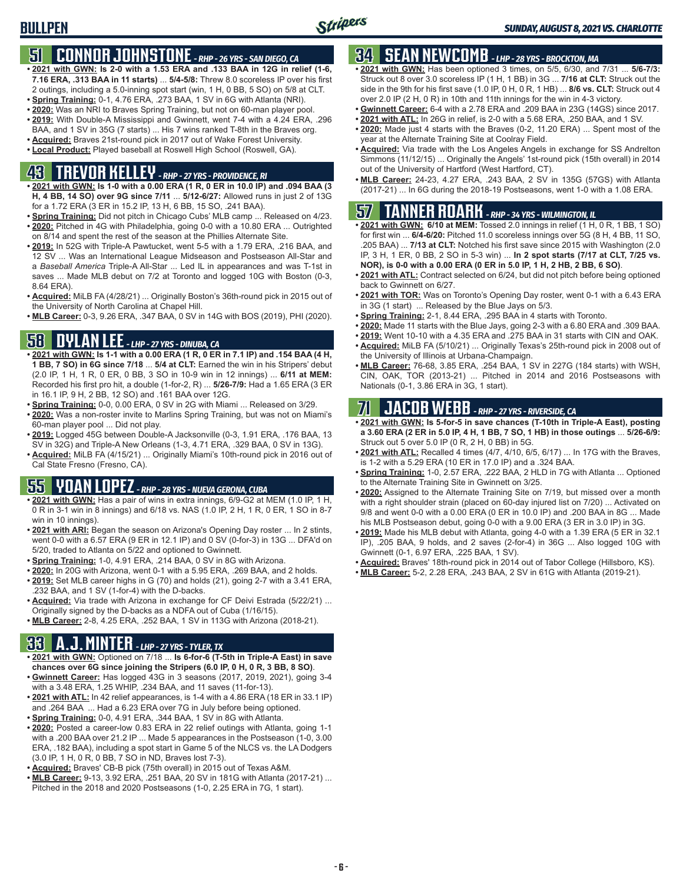### **51 CONNOR JOHNSTONE** *- RHP - 26 YRS - SAN DIEGO, CA*

- **• 2021 with GWN: Is 2-0 with a 1.53 ERA and .133 BAA in 12G in relief (1-6, 7.16 ERA, .313 BAA in 11 starts)** ... **5/4-5/8:** Threw 8.0 scoreless IP over his first 2 outings, including a 5.0-inning spot start (win, 1 H, 0 BB, 5 SO) on 5/8 at CLT.
- **• Spring Training:** 0-1, 4.76 ERA, .273 BAA, 1 SV in 6G with Atlanta (NRI).
- **• 2020:** Was an NRI to Braves Spring Training, but not on 60-man player pool.
- **• 2019:** With Double-A Mississippi and Gwinnett, went 7-4 with a 4.24 ERA, .296 BAA, and 1 SV in 35G (7 starts) ... His 7 wins ranked T-8th in the Braves org.
- **• Acquired:** Braves 21st-round pick in 2017 out of Wake Forest University.
- **• Local Product:** Played baseball at Roswell High School (Roswell, GA).

# **43 TREVOR KELLEY** *- RHP - 27 YRS - PROVIDENCE, RI*

- **• 2021 with GWN: Is 1-0 with a 0.00 ERA (1 R, 0 ER in 10.0 IP) and .094 BAA (3 H, 4 BB, 14 SO) over 9G since 7/11** ... **5/12-6/27:** Allowed runs in just 2 of 13G for a 1.72 ERA (3 ER in 15.2 IP, 13 H, 6 BB, 15 SO, .241 BAA).
- **• Spring Training:** Did not pitch in Chicago Cubs' MLB camp ... Released on 4/23. **• 2020:** Pitched in 4G with Philadelphia, going 0-0 with a 10.80 ERA ... Outrighted on 8/14 and spent the rest of the season at the Phillies Alternate Site.
- **• 2019:** In 52G with Triple-A Pawtucket, went 5-5 with a 1.79 ERA, .216 BAA, and 12 SV ... Was an International League Midseason and Postseason All-Star and a *Baseball America* Triple-A All-Star ... Led IL in appearances and was T-1st in saves ... Made MLB debut on 7/2 at Toronto and logged 10G with Boston (0-3, 8.64 ERA).
- **• Acquired:** MiLB FA (4/28/21) ... Originally Boston's 36th-round pick in 2015 out of the University of North Carolina at Chapel Hill.
- **• MLB Career:** 0-3, 9.26 ERA, .347 BAA, 0 SV in 14G with BOS (2019), PHI (2020).

### **58 DYLAN LEE** *- LHP - 27 YRS - DINUBA, CA*

- **• 2021 with GWN: Is 1-1 with a 0.00 ERA (1 R, 0 ER in 7.1 IP) and .154 BAA (4 H, 1 BB, 7 SO) in 6G since 7/18** ... **5/4 at CLT:** Earned the win in his Stripers' debut (2.0 IP, 1 H, 1 R, 0 ER, 0 BB, 3 SO in 10-9 win in 12 innings) ... **6/11 at MEM:** Recorded his first pro hit, a double (1-for-2, R) ... **5/26-7/9:** Had a 1.65 ERA (3 ER in 16.1 IP, 9 H, 2 BB, 12 SO) and .161 BAA over 12G.
- **• Spring Training:** 0-0, 0.00 ERA, 0 SV in 2G with Miami ... Released on 3/29.
- **• 2020:** Was a non-roster invite to Marlins Spring Training, but was not on Miami's 60-man player pool ... Did not play.
- **• 2019:** Logged 45G between Double-A Jacksonville (0-3, 1.91 ERA, .176 BAA, 13 SV in 32G) and Triple-A New Orleans (1-3, 4.71 ERA, .329 BAA, 0 SV in 13G).
- **• Acquired:** MiLB FA (4/15/21) ... Originally Miami's 10th-round pick in 2016 out of Cal State Fresno (Fresno, CA).

# **55 YOAN LOPEZ** *- RHP - 28 YRS - NUEVA GERONA, CUBA*

- **• 2021 with GWN:** Has a pair of wins in extra innings, 6/9-G2 at MEM (1.0 IP, 1 H, 0 R in 3-1 win in 8 innings) and 6/18 vs. NAS (1.0 IP, 2 H, 1 R, 0 ER, 1 SO in 8-7 win in 10 innings).
- **• 2021 with ARI:** Began the season on Arizona's Opening Day roster ... In 2 stints, went 0-0 with a 6.57 ERA (9 ER in 12.1 IP) and 0 SV (0-for-3) in 13G ... DFA'd on 5/20, traded to Atlanta on 5/22 and optioned to Gwinnett.
- **• Spring Training:** 1-0, 4.91 ERA, .214 BAA, 0 SV in 8G with Arizona.
- **• 2020:** In 20G with Arizona, went 0-1 with a 5.95 ERA, .269 BAA, and 2 holds.
- **• 2019:** Set MLB career highs in G (70) and holds (21), going 2-7 with a 3.41 ERA, .232 BAA, and 1 SV (1-for-4) with the D-backs.
- **• Acquired:** Via trade with Arizona in exchange for CF Deivi Estrada (5/22/21) ... Originally signed by the D-backs as a NDFA out of Cuba (1/16/15).
- **• MLB Career:** 2-8, 4.25 ERA, .252 BAA, 1 SV in 113G with Arizona (2018-21).

## **33 A.J. MINTER** *- LHP - 27 YRS - TYLER, TX*

- **• 2021 with GWN:** Optioned on 7/18 ... **Is 6-for-6 (T-5th in Triple-A East) in save chances over 6G since joining the Stripers (6.0 IP, 0 H, 0 R, 3 BB, 8 SO)**.
- **• Gwinnett Career:** Has logged 43G in 3 seasons (2017, 2019, 2021), going 3-4 with a 3.48 ERA, 1.25 WHIP, .234 BAA, and 11 saves (11-for-13).
- **• 2021 with ATL:** In 42 relief appearances, is 1-4 with a 4.86 ERA (18 ER in 33.1 IP) and .264 BAA ... Had a 6.23 ERA over 7G in July before being optioned.
- **• Spring Training:** 0-0, 4.91 ERA, .344 BAA, 1 SV in 8G with Atlanta. **• 2020:** Posted a career-low 0.83 ERA in 22 relief outings with Atlanta, going 1-1 with a .200 BAA over 21.2 IP ... Made 5 appearances in the Postseason (1-0, 3.00 ERA, .182 BAA), including a spot start in Game 5 of the NLCS vs. the LA Dodgers (3.0 IP, 1 H, 0 R, 0 BB, 7 SO in ND, Braves lost 7-3).
- **• Acquired:** Braves' CB-B pick (75th overall) in 2015 out of Texas A&M.
- **• MLB Career:** 9-13, 3.92 ERA, .251 BAA, 20 SV in 181G with Atlanta (2017-21) ... Pitched in the 2018 and 2020 Postseasons (1-0, 2.25 ERA in 7G, 1 start).

# **34 SEAN NEWCOMB** *- LHP - 28 YRS - BROCKTON, MA*

- **• 2021 with GWN:** Has been optioned 3 times, on 5/5, 6/30, and 7/31 ... **5/6-7/3:** Struck out 8 over 3.0 scoreless IP (1 H, 1 BB) in 3G ... **7/16 at CLT:** Struck out the side in the 9th for his first save (1.0 IP, 0 H, 0 R, 1 HB) ... **8/6 vs. CLT:** Struck out 4 over 2.0 IP (2 H, 0 R) in 10th and 11th innings for the win in 4-3 victory.
- **• Gwinnett Career:** 6-4 with a 2.78 ERA and .209 BAA in 23G (14GS) since 2017.
- **• 2021 with ATL:** In 26G in relief, is 2-0 with a 5.68 ERA, .250 BAA, and 1 SV.
- **• 2020:** Made just 4 starts with the Braves (0-2, 11.20 ERA) ... Spent most of the year at the Alternate Training Site at Coolray Field.
- **• Acquired:** Via trade with the Los Angeles Angels in exchange for SS Andrelton Simmons (11/12/15) ... Originally the Angels' 1st-round pick (15th overall) in 2014 out of the University of Hartford (West Hartford, CT).
- **• MLB Career:** 24-23, 4.27 ERA, .243 BAA, 2 SV in 135G (57GS) with Atlanta (2017-21) ... In 6G during the 2018-19 Postseasons, went 1-0 with a 1.08 ERA.

#### **57 TANNER ROARK** *- RHP - 34 YRS - WILMINGTON, IL*

- **• 2021 with GWN: 6/10 at MEM:** Tossed 2.0 innings in relief (1 H, 0 R, 1 BB, 1 SO) for first win ... **6/4-6/20:** Pitched 11.0 scoreless innings over 5G (8 H, 4 BB, 11 SO, .205 BAA) ... **7/13 at CLT:** Notched his first save since 2015 with Washington (2.0 IP, 3 H, 1 ER, 0 BB, 2 SO in 5-3 win) ... **In 2 spot starts (7/17 at CLT, 7/25 vs. NOR), is 0-0 with a 0.00 ERA (0 ER in 5.0 IP, 1 H, 2 HB, 2 BB, 6 SO)**.
- **• 2021 with ATL:** Contract selected on 6/24, but did not pitch before being optioned back to Gwinnett on 6/27.
- **• 2021 with TOR:** Was on Toronto's Opening Day roster, went 0-1 with a 6.43 ERA in 3G (1 start) ... Released by the Blue Jays on 5/3.
- **• Spring Training:** 2-1, 8.44 ERA, .295 BAA in 4 starts with Toronto.
- **• 2020:** Made 11 starts with the Blue Jays, going 2-3 with a 6.80 ERA and .309 BAA.
- **• 2019:** Went 10-10 with a 4.35 ERA and .275 BAA in 31 starts with CIN and OAK. **• Acquired:** MiLB FA (5/10/21) ... Originally Texas's 25th-round pick in 2008 out of
- the University of Illinois at Urbana-Champaign. **• MLB Career:** 76-68, 3.85 ERA, .254 BAA, 1 SV in 227G (184 starts) with WSH, CIN, OAK, TOR (2013-21) ... Pitched in 2014 and 2016 Postseasons with Nationals (0-1, 3.86 ERA in 3G, 1 start).

# **71 JACOB WEBB** *- RHP - 27 YRS - RIVERSIDE, CA*

**• 2021 with GWN: Is 5-for-5 in save chances (T-10th in Triple-A East), posting a 3.60 ERA (2 ER in 5.0 IP, 4 H, 1 BB, 7 SO, 1 HB) in those outings** ... **5/26-6/9:** Struck out 5 over 5.0 IP (0 R, 2 H, 0 BB) in 5G.

- **• 2021 with ATL:** Recalled 4 times (4/7, 4/10, 6/5, 6/17) ... In 17G with the Braves, is 1-2 with a 5.29 ERA (10 ER in 17.0 IP) and a .324 BAA.
- **• Spring Training:** 1-0, 2.57 ERA, .222 BAA, 2 HLD in 7G with Atlanta ... Optioned to the Alternate Training Site in Gwinnett on 3/25.
- **• 2020:** Assigned to the Alternate Training Site on 7/19, but missed over a month with a right shoulder strain (placed on 60-day injured list on 7/20) ... Activated on 9/8 and went 0-0 with a 0.00 ERA (0 ER in 10.0 IP) and .200 BAA in 8G ... Made his MLB Postseason debut, going 0-0 with a 9.00 ERA (3 ER in 3.0 IP) in 3G.
- **• 2019:** Made his MLB debut with Atlanta, going 4-0 with a 1.39 ERA (5 ER in 32.1 IP), .205 BAA, 9 holds, and 2 saves (2-for-4) in 36G ... Also logged 10G with Gwinnett (0-1, 6.97 ERA, .225 BAA, 1 SV).
- **• Acquired:** Braves' 18th-round pick in 2014 out of Tabor College (Hillsboro, KS).
- **• MLB Career:** 5-2, 2.28 ERA, .243 BAA, 2 SV in 61G with Atlanta (2019-21).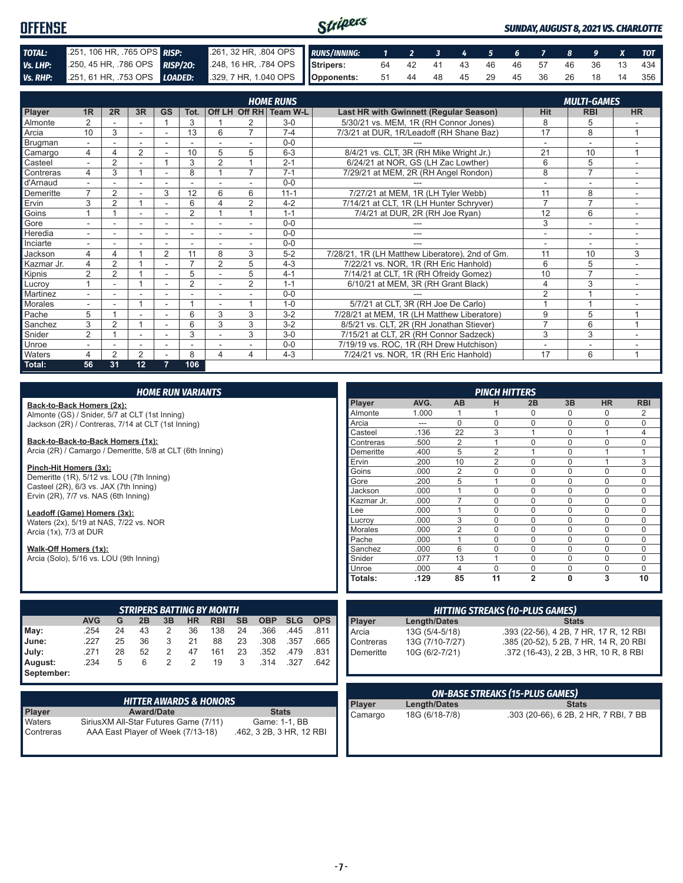| <b>OFFENSE</b> |                                                                                          |  | Stripers<br><b>SUNDAY, AUGUST 8, 2021 VS. CHARLOTTE</b>  |  |  |  |  |  |  |  |  |  |  |                                   |
|----------------|------------------------------------------------------------------------------------------|--|----------------------------------------------------------|--|--|--|--|--|--|--|--|--|--|-----------------------------------|
| TOTAL:         | 251, 106 HR, .765 OPS RISP:                                                              |  | 261, 32 HR, 804 OPS RUNS/INNING: 1 2 3 4 5 6 7 8 9 X TOT |  |  |  |  |  |  |  |  |  |  |                                   |
| Vs. LHP:       | 250, 45 HR, 786 OPS RISP/20: 248, 16 HR, 784 OPS Stripers: 64 42 41 43 46 46 57 46 36 13 |  |                                                          |  |  |  |  |  |  |  |  |  |  | 434                               |
|                | Vs. RHP: 251, 61 HR, 753 OPS LOADED: 329, 7 HR, 1.040 OPS Opponents:                     |  |                                                          |  |  |  |  |  |  |  |  |  |  | 51 44 48 45 29 45 36 26 18 14 356 |

|            |                |                |                |                |                          |                |                | <b>HOME RUNS</b>       |                                                 |                | <b>MULTI-GAMES</b>       |                |
|------------|----------------|----------------|----------------|----------------|--------------------------|----------------|----------------|------------------------|-------------------------------------------------|----------------|--------------------------|----------------|
| Player     | 1R             | 2R             | 3R             | <b>GS</b>      | Tot.                     |                |                | Off LH Off RH Team W-L | <b>Last HR with Gwinnett (Regular Season)</b>   | <b>Hit</b>     | <b>RBI</b>               | <b>HR</b>      |
| Almonte    | $\overline{2}$ |                |                |                | 3                        |                | 2              | $3-0$                  | 5/30/21 vs. MEM, 1R (RH Connor Jones)           | 8              | 5                        |                |
| Arcia      | 10             | 3              |                |                | 13                       | 6              | $\overline{ }$ | $7 - 4$                | 7/3/21 at DUR, 1R/Leadoff (RH Shane Baz)        | 17             | 8                        |                |
| Brugman    | $\sim$         |                | ÷.             | ٠              |                          |                |                | $0 - 0$                |                                                 | $\overline{a}$ | $\sim$                   |                |
| Camargo    | 4              |                | 2              |                | 10                       | 5              | 5              | $6 - 3$                | 8/4/21 vs. CLT, 3R (RH Mike Wright Jr.)         | 21             | 10                       |                |
| Casteel    |                | $\overline{2}$ |                |                | 3                        | $\overline{2}$ |                | $2 - 1$                | 6/24/21 at NOR, GS (LH Zac Lowther)             | 6              | 5                        |                |
| Contreras  | 4              | 3              |                |                | 8                        |                | $\overline{7}$ | $7 - 1$                | 7/29/21 at MEM, 2R (RH Angel Rondon)            | 8              | $\overline{7}$           |                |
| d'Arnaud   |                |                |                |                |                          |                |                | $0 - 0$                |                                                 |                |                          |                |
| Demeritte  | $\overline{ }$ | $\overline{2}$ |                | 3              | 12                       | 6              | 6              | $11 - 1$               | 7/27/21 at MEM, 1R (LH Tyler Webb)              | 11             | 8                        |                |
| Ervin      | 3              | 2              |                | ٠              | 6                        | $\Delta$       | 2              | $4 - 2$                | 7/14/21 at CLT, 1R (LH Hunter Schryver)         | $\overline{7}$ | $\overline{7}$           |                |
| Goins      |                |                | ٠              |                | $\overline{2}$           |                |                | $1 - 1$                | 7/4/21 at DUR, 2R (RH Joe Ryan)                 | 12             | 6                        | $\sim$         |
| Gore       |                |                | ۰              | ۰              | -                        |                |                | $0 - 0$                |                                                 | 3              | $\overline{\phantom{a}}$ |                |
| Heredia    | $\sim$         |                | ٠              |                | ٠                        |                |                | $0 - 0$                | ---                                             | ٠              | ٠                        |                |
| Inciarte   |                |                |                |                |                          |                |                | $0 - 0$                |                                                 |                |                          |                |
| Jackson    | 4              |                |                | $\overline{2}$ | 11                       | 8              | 3              | $5 - 2$                | 7/28/21, 1R (LH Matthew Liberatore), 2nd of Gm. | 11             | 10                       | 3              |
| Kazmar Jr. | 4              | $\overline{2}$ |                | ٠              | $\overline{\phantom{a}}$ | $\overline{2}$ | 5              | $4 - 3$                | 7/22/21 vs. NOR, 1R (RH Eric Hanhold)           | 6              | 5                        |                |
| Kipnis     | $\overline{2}$ | $\overline{2}$ |                |                | 5                        |                | 5              | $4 - 1$                | 7/14/21 at CLT, 1R (RH Ofreidy Gomez)           | 10             | $\overline{7}$           | $\sim$         |
| Lucrov     |                |                |                | ۰              | $\overline{2}$           |                | $\overline{2}$ | $1 - 1$                | 6/10/21 at MEM, 3R (RH Grant Black)             | 4              | 3                        | ٠              |
| Martinez   |                |                |                |                |                          |                |                | $0 - 0$                |                                                 | $\overline{2}$ |                          |                |
| Morales    |                |                |                | ٠              |                          |                |                | $1 - 0$                | 5/7/21 at CLT, 3R (RH Joe De Carlo)             |                |                          |                |
| Pache      | 5              |                |                | ۰              | 6                        | 3              | 3              | $3-2$                  | 7/28/21 at MEM, 1R (LH Matthew Liberatore)      | 9              | 5                        |                |
| Sanchez    | 3              | $\overline{2}$ |                |                | 6                        | 3              | 3              | $3 - 2$                | 8/5/21 vs. CLT, 2R (RH Jonathan Stiever)        | $\overline{7}$ | 6                        | $\overline{A}$ |
| Snider     | $\overline{2}$ |                |                |                | 3                        |                | 3              | $3-0$                  | 7/15/21 at CLT, 2R (RH Connor Sadzeck)          | 3              | 3                        |                |
| Unroe      |                |                | ٠              |                |                          |                |                | $0 - 0$                | 7/19/19 vs. ROC, 1R (RH Drew Hutchison)         |                | ۰                        |                |
| Waters     | 4              | $\mathfrak{p}$ | $\overline{2}$ |                | 8                        | 4              | 4              | $4 - 3$                | 7/24/21 vs. NOR, 1R (RH Eric Hanhold)           | 17             | 6                        |                |
| Total:     | 56             | 31             | 12             | 7              | 106                      |                |                |                        |                                                 |                |                          |                |

| <b>HOME RUN VARIANTS</b>                                  |                                                    |    |                                  |                |           |            |           |            |            |            |            |                     |                | <b>PINCH HITTERS</b>                   |                |                                        |             |             |
|-----------------------------------------------------------|----------------------------------------------------|----|----------------------------------|----------------|-----------|------------|-----------|------------|------------|------------|------------|---------------------|----------------|----------------------------------------|----------------|----------------------------------------|-------------|-------------|
| Back-to-Back Homers (2x):                                 |                                                    |    |                                  |                |           |            |           |            |            |            | Player     | AVG.                | <b>AB</b>      | н                                      | 2B             | 3B                                     | <b>HR</b>   | <b>RBI</b>  |
| Almonte (GS) / Snider, 5/7 at CLT (1st Inning)            |                                                    |    |                                  |                |           |            |           |            |            |            | Almonte    | 1.000               |                |                                        | N              | $\mathbf 0$                            | 0           | 2           |
|                                                           | Jackson (2R) / Contreras, 7/14 at CLT (1st Inning) |    |                                  |                |           |            |           |            |            |            | Arcia      | ---                 | $\Omega$       | $\Omega$                               | $\Omega$       | $\mathbf 0$                            | $\Omega$    | $\mathbf 0$ |
|                                                           |                                                    |    |                                  |                |           |            |           |            |            |            | Casteel    | .136                | 22             | 3                                      |                | $\mathbf 0$                            |             |             |
| Back-to-Back-to-Back Homers (1x):                         |                                                    |    |                                  |                |           |            |           |            |            |            | Contreras  | .500                | $\overline{2}$ |                                        | $\Omega$       | $\Omega$                               | $\Omega$    | $\Omega$    |
| Arcia (2R) / Camargo / Demeritte, 5/8 at CLT (6th Inning) |                                                    |    |                                  |                |           |            |           |            |            |            | Demeritte  | .400                | 5              | $\overline{2}$                         |                | $\mathbf 0$                            | 1           |             |
|                                                           |                                                    |    |                                  |                |           |            |           |            |            |            | Ervin      | .200                | 10             | $\overline{2}$                         | $\Omega$       | $\Omega$                               | 1           | 3           |
| Pinch-Hit Homers (3x):                                    |                                                    |    |                                  |                |           |            |           |            |            |            | Goins      | .000                | $\overline{2}$ | $\Omega$                               | $\Omega$       | $\Omega$                               | $\Omega$    | $\Omega$    |
| Demeritte (1R), 5/12 vs. LOU (7th Inning)                 |                                                    |    |                                  |                |           |            |           |            |            |            | Gore       | .200                | 5              |                                        | $\Omega$       | $\mathbf 0$                            | $\Omega$    | $\Omega$    |
| Casteel (2R), 6/3 vs. JAX (7th Inning)                    |                                                    |    |                                  |                |           |            |           |            |            |            | Jackson    | .000                |                | $\Omega$                               | $\Omega$       | $\mathbf 0$                            | $\Omega$    | $\mathbf 0$ |
| Ervin (2R), 7/7 vs. NAS (6th Inning)                      |                                                    |    |                                  |                |           |            |           |            |            |            | Kazmar Jr. | .000                | $\overline{7}$ | $\Omega$                               | $\mathbf{0}$   | $\mathbf 0$                            | $\Omega$    | $\Omega$    |
| Leadoff (Game) Homers (3x):                               |                                                    |    |                                  |                |           |            |           |            |            |            | Lee        | .000                |                | $\Omega$                               | $\Omega$       | $\Omega$                               | $\Omega$    | $\Omega$    |
| Waters (2x), 5/19 at NAS, 7/22 vs. NOR                    |                                                    |    |                                  |                |           |            |           |            |            |            | Lucrov     | .000                | 3              | $\Omega$                               | $\Omega$       | $\Omega$                               | $\Omega$    | $\Omega$    |
| Arcia (1x), 7/3 at DUR                                    |                                                    |    |                                  |                |           |            |           |            |            |            | Morales    | .000                | $\overline{2}$ | $\Omega$                               | $\mathbf 0$    | $\mathbf 0$                            | 0           | $\Omega$    |
|                                                           |                                                    |    |                                  |                |           |            |           |            |            |            | Pache      | .000                |                | $\Omega$                               | $\Omega$       | $\Omega$                               | $\Omega$    | $\Omega$    |
| Walk-Off Homers (1x):                                     |                                                    |    |                                  |                |           |            |           |            |            |            | Sanchez    | .000                | 6              | $\Omega$                               | $\Omega$       | $\mathbf 0$                            | $\mathbf 0$ | $\Omega$    |
| Arcia (Solo), 5/16 vs. LOU (9th Inning)                   |                                                    |    |                                  |                |           |            |           |            |            |            | Snider     | .077                | 13             |                                        | $\mathbf 0$    | $\mathbf 0$                            | $\Omega$    | $\mathbf 0$ |
|                                                           |                                                    |    |                                  |                |           |            |           |            |            |            | Unroe      | .000                | $\overline{4}$ | $\Omega$                               | $\Omega$       | $\Omega$                               | $\Omega$    | $\Omega$    |
|                                                           |                                                    |    |                                  |                |           |            |           |            |            |            | Totals:    | .129                | 85             | 11                                     | $\overline{2}$ | 0                                      | 3           | 10          |
|                                                           |                                                    |    |                                  |                |           |            |           |            |            |            |            |                     |                |                                        |                |                                        |             |             |
|                                                           |                                                    |    | <b>STRIPERS BATTING BY MONTH</b> |                |           |            |           |            |            |            |            |                     |                | <b>HITTING STREAKS (10-PLUS GAMES)</b> |                |                                        |             |             |
|                                                           | <b>AVG</b>                                         | G  | 2B                               | 3B             | <b>HR</b> | <b>RBI</b> | <b>SB</b> | <b>OBP</b> | <b>SLG</b> | <b>OPS</b> |            |                     |                |                                        |                | <b>Stats</b>                           |             |             |
|                                                           | .254                                               | 24 | 43                               | 2              | 36        | 138        | 24        | .366       | .445       | .811       | Player     | <b>Length/Dates</b> |                |                                        |                |                                        |             |             |
| May:                                                      |                                                    |    |                                  |                |           |            |           |            |            |            | Arcia      | 13G (5/4-5/18)      |                |                                        |                | .393 (22-56), 4 2B, 7 HR, 17 R, 12 RBI |             |             |
| June:                                                     | .227                                               | 25 | 36                               | 3              | 21        | 88         | 23        | .308       | .357       | .665       | Contreras  | 13G (7/10-7/27)     |                |                                        |                | .385 (20-52), 5 2B, 7 HR, 14 R, 20 RBI |             |             |
| July:                                                     | .271                                               | 28 | 52                               | $\overline{2}$ | 47        | 161        | 23        | .352       | .479       | .831       | Demeritte  | 10G (6/2-7/21)      |                |                                        |                | .372 (16-43), 2 2B, 3 HR, 10 R, 8 RBI  |             |             |
| August:                                                   | .234                                               | 5  | 6                                | $\overline{2}$ | 2         | 19         | 3         | .314       | .327       | .642       |            |                     |                |                                        |                |                                        |             |             |
| September:                                                |                                                    |    |                                  |                |           |            |           |            |            |            |            |                     |                |                                        |                |                                        |             |             |

|               | <b>HITTER AWARDS &amp; HONORS</b>      |                          |
|---------------|----------------------------------------|--------------------------|
| <b>Player</b> | <b>Award/Date</b>                      | <b>Stats</b>             |
| Waters        | Sirius XM All-Star Futures Game (7/11) | Game: 1-1, BB            |
| Contreras     | AAA East Player of Week (7/13-18)      | .462, 3 2B, 3 HR, 12 RBI |

|           | $\mathbf{r}$ . The set of $\mathbf{r}$ | <b>ON-BASE STREAKS (15-PLUS GAMES)</b> |
|-----------|----------------------------------------|----------------------------------------|
|           |                                        |                                        |
|           |                                        |                                        |
| Demeritte | 10G (6/2-7/21)                         | .372 (16-43), 2 2B, 3 HR, 10 R, 8 RBI  |
| Contreras | 13G (7/10-7/27)                        | .385 (20-52), 5 2B, 7 HR, 14 R, 20 RBI |

| <b>ON-BASE STREAKS (15-PLUS GAMES)</b> |                |                                       |
|----------------------------------------|----------------|---------------------------------------|
| Player                                 | Length/Dates   | <b>Stats</b>                          |
| Camargo                                | 18G (6/18-7/8) | .303 (20-66), 6 2B, 2 HR, 7 RBI, 7 BB |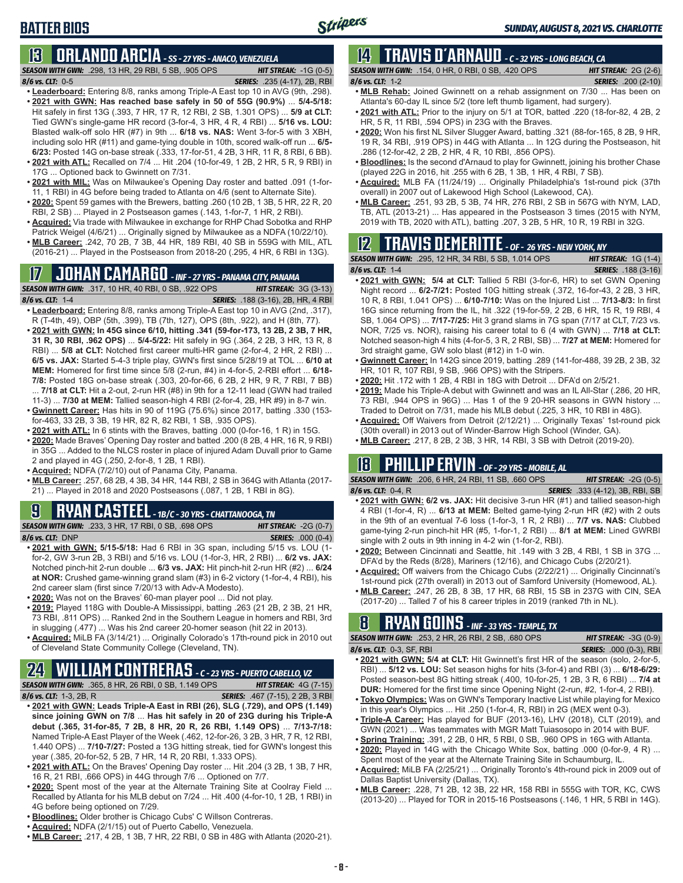## **BATTER BIOS**

### **13 ORLANDO ARCIA** *- SS - 27 YRS - ANACO, VENEZUELA*

*SEASON WITH GWN:*.298, 13 HR, 29 RBI, 5 SB, .905 OPS *HIT STREAK:* -1G (0-5) *8/6 vs. CLT:*0-5 *SERIES:* .235 (4-17), 2B, RBI

- 
- **• Leaderboard:** Entering 8/8, ranks among Triple-A East top 10 in AVG (9th, .298). **• 2021 with GWN: Has reached base safely in 50 of 55G (90.9%)** ... **5/4-5/18:**  Hit safely in first 13G (.393, 7 HR, 17 R, 12 RBI, 2 SB, 1.301 OPS) ... **5/9 at CLT:** Tied GWN's single-game HR record (3-for-4, 3 HR, 4 R, 4 RBI) ... **5/16 vs. LOU:** Blasted walk-off solo HR (#7) in 9th ... **6/18 vs. NAS:** Went 3-for-5 with 3 XBH, including solo HR (#11) and game-tying double in 10th, scored walk-off run ... **6/5- 6/23:** Posted 14G on-base streak (.333, 17-for-51, 4 2B, 3 HR, 11 R, 8 RBI, 6 BB).
- **• 2021 with ATL:** Recalled on 7/4 ... Hit .204 (10-for-49, 1 2B, 2 HR, 5 R, 9 RBI) in 17G ... Optioned back to Gwinnett on 7/31.
- **• 2021 with MIL:** Was on Milwaukee's Opening Day roster and batted .091 (1-for-11, 1 RBI) in 4G before being traded to Atlanta on 4/6 (sent to Alternate Site).
- **• 2020:** Spent 59 games with the Brewers, batting .260 (10 2B, 1 3B, 5 HR, 22 R, 20 RBI, 2 SB) ... Played in 2 Postseason games (.143, 1-for-7, 1 HR, 2 RBI).
- **• Acquired:** Via trade with Milwaukee in exchange for RHP Chad Sobotka and RHP Patrick Weigel (4/6/21) ... Originally signed by Milwaukee as a NDFA (10/22/10).
- **• MLB Career:** .242, 70 2B, 7 3B, 44 HR, 189 RBI, 40 SB in 559G with MIL, ATL (2016-21) ... Played in the Postseason from 2018-20 (.295, 4 HR, 6 RBI in 13G).

# **17 JOHAN CAMARGO** *- INF - 27 YRS - PANAMA CITY, PANAMA*

*SEASON WITH GWN:*.317, 10 HR, 40 RBI, 0 SB, .922 OPS *HIT STREAK:* 3G (3-13) *8/6 vs. CLT:* 1-4 *SERIES:* .188 (3-16), 2B, HR, 4 RBI

- **• Leaderboard:** Entering 8/8, ranks among Triple-A East top 10 in AVG (2nd, .317), R (T-4th, 49), OBP (5th, .399), TB (7th, 127), OPS (8th, .922), and H (8th, 77).
- **• 2021 with GWN: In 45G since 6/10, hitting .341 (59-for-173, 13 2B, 2 3B, 7 HR, 31 R, 30 RBI, .962 OPS)** ... **5/4-5/22:** Hit safely in 9G (.364, 2 2B, 3 HR, 13 R, 8 RBI) ... **5/8 at CLT:** Notched first career multi-HR game (2-for-4, 2 HR, 2 RBI) ... **6/5 vs. JAX:** Started 5-4-3 triple play, GWN's first since 5/28/19 at TOL ... **6/10 at MEM:** Homered for first time since 5/8 (2-run, #4) in 4-for-5, 2-RBI effort ... **6/18- 7/8:** Posted 18G on-base streak (.303, 20-for-66, 6 2B, 2 HR, 9 R, 7 RBI, 7 BB) ... **7/18 at CLT:** Hit a 2-out, 2-run HR (#8) in 9th for a 12-11 lead (GWN had trailed
- 11-3) ... **7/30 at MEM:** Tallied season-high 4 RBI (2-for-4, 2B, HR #9) in 8-7 win. **• Gwinnett Career:** Has hits in 90 of 119G (75.6%) since 2017, batting .330 (153 for-463, 33 2B, 3 3B, 19 HR, 82 R, 82 RBI, 1 SB, .935 OPS).
- **• 2021 with ATL:** In 6 stints with the Braves, batting .000 (0-for-16, 1 R) in 15G.
- **• 2020:** Made Braves' Opening Day roster and batted .200 (8 2B, 4 HR, 16 R, 9 RBI) in 35G ... Added to the NLCS roster in place of injured Adam Duvall prior to Game 2 and played in 4G (.250, 2-for-8, 1 2B, 1 RBI).
- **• Acquired:** NDFA (7/2/10) out of Panama City, Panama.
- **• MLB Career:** .257, 68 2B, 4 3B, 34 HR, 144 RBI, 2 SB in 364G with Atlanta (2017- 21) ... Played in 2018 and 2020 Postseasons (.087, 1 2B, 1 RBI in 8G).

#### **9 RYAN CASTEEL** *- 1B/C - 30 YRS - CHATTANOOGA, TN*

*SEASON WITH GWN:*.233, 3 HR, 17 RBI, 0 SB, .698 OPS *HIT STREAK:* -2G (0-7) *8/6 vs. CLT:*DNP *SERIES:* .000 (0-4)

- **• 2021 with GWN: 5/15-5/18:** Had 6 RBI in 3G span, including 5/15 vs. LOU (1 for-2, GW 3-run 2B, 3 RBI) and 5/16 vs. LOU (1-for-3, HR, 2 RBI) ... **6/2 vs. JAX:** Notched pinch-hit 2-run double ... **6/3 vs. JAX:** Hit pinch-hit 2-run HR (#2) ... **6/24 at NOR:** Crushed game-winning grand slam (#3) in 6-2 victory (1-for-4, 4 RBI), his 2nd career slam (first since 7/20/13 with Adv-A Modesto).
- **• 2020:** Was not on the Braves' 60-man player pool ... Did not play.
- **• 2019:** Played 118G with Double-A Mississippi, batting .263 (21 2B, 2 3B, 21 HR, 73 RBI, .811 OPS) ... Ranked 2nd in the Southern League in homers and RBI, 3rd in slugging (.477) ... Was his 2nd career 20-homer season (hit 22 in 2013).
- **• Acquired:** MiLB FA (3/14/21) ... Originally Colorado's 17th-round pick in 2010 out of Cleveland State Community College (Cleveland, TN).

# **24 WILLIAM CONTRERAS** *- C - 23 YRS - PUERTO CABELLO, VZ*

*SEASON WITH GWN:*.365, 8 HR, 26 RBI, 0 SB, 1.149 OPS *HIT STREAK:* 4G (7-15)

- *8/6 vs. CLT:* 1-3, 2B, R *SERIES:* .467 (7-15), 2 2B, 3 RBI **• 2021 with GWN: Leads Triple-A East in RBI (26), SLG (.729), and OPS (1.149) since joining GWN on 7/8** ... **Has hit safely in 20 of 23G during his Triple-A debut (.365, 31-for-85, 7 2B, 8 HR, 20 R, 26 RBI, 1.149 OPS)** ... **7/13-7/18:** Named Triple-A East Player of the Week (.462, 12-for-26, 3 2B, 3 HR, 7 R, 12 RBI, 1.440 OPS) ... **7/10-7/27:** Posted a 13G hitting streak, tied for GWN's longest this year (.385, 20-for-52, 5 2B, 7 HR, 14 R, 20 RBI, 1.333 OPS).
- **• 2021 with ATL:** On the Braves' Opening Day roster ... Hit .204 (3 2B, 1 3B, 7 HR, 16 R, 21 RBI, .666 OPS) in 44G through 7/6 ... Optioned on 7/7.
- **• 2020:** Spent most of the year at the Alternate Training Site at Coolray Field ... Recalled by Atlanta for his MLB debut on 7/24 ... Hit .400 (4-for-10, 1 2B, 1 RBI) in 4G before being optioned on 7/29.
- **• Bloodlines:** Older brother is Chicago Cubs' C Willson Contreras.
- **• Acquired:** NDFA (2/1/15) out of Puerto Cabello, Venezuela.
- **• MLB Career:** .217, 4 2B, 1 3B, 7 HR, 22 RBI, 0 SB in 48G with Atlanta (2020-21).

### **14 TRAVIS d'ARNAUD** *- C - 32 YRS - LONG BEACH, CA*

*SEASON WITH GWN:*.154, 0 HR, 0 RBI, 0 SB, .420 OPS *HIT STREAK:* 2G (2-6) *8/6 vs. CLT:*1-2 *SERIES:* .200 (2-10) **• MLB Rehab:** Joined Gwinnett on a rehab assignment on 7/30 ... Has been on

- Atlanta's 60-day IL since 5/2 (tore left thumb ligament, had surgery).
- **• 2021 with ATL:** Prior to the injury on 5/1 at TOR, batted .220 (18-for-82, 4 2B, 2 HR, 5 R, 11 RBI, .594 OPS) in 23G with the Braves.
- **• 2020:** Won his first NL Silver Slugger Award, batting .321 (88-for-165, 8 2B, 9 HR, 19 R, 34 RBI, .919 OPS) in 44G with Atlanta ... In 12G during the Postseason, hit .286 (12-for-42, 2 2B, 2 HR, 4 R, 10 RBI, .856 OPS).
- **• Bloodlines:** Is the second d'Arnaud to play for Gwinnett, joining his brother Chase (played 22G in 2016, hit .255 with 6 2B, 1 3B, 1 HR, 4 RBI, 7 SB).
- **• Acquired:** MLB FA (11/24/19) ... Originally Philadelphia's 1st-round pick (37th overall) in 2007 out of Lakewood High School (Lakewood, CA).
- **• MLB Career:** .251, 93 2B, 5 3B, 74 HR, 276 RBI, 2 SB in 567G with NYM, LAD, TB, ATL (2013-21) ... Has appeared in the Postseason 3 times (2015 with NYM, 2019 with TB, 2020 with ATL), batting .207, 3 2B, 5 HR, 10 R, 19 RBI in 32G.

### **12 TRAVIS DEMERITTE** *- OF - 26 YRS - NEW YORK, NY*

*SEASON WITH GWN:*.295, 12 HR, 34 RBI, 5 SB, 1.014 OPS *HIT STREAK:* 1G (1-4) *8/6 vs. CLT:*1-4 *SERIES:* .188 (3-16)

- **• 2021 with GWN: 5/4 at CLT:** Tallied 5 RBI (3-for-6, HR) to set GWN Opening Night record ... **6/2-7/21:** Posted 10G hitting streak (.372, 16-for-43, 2 2B, 3 HR, 10 R, 8 RBI, 1.041 OPS) ... **6/10-7/10:** Was on the Injured List ... **7/13-8/3:** In first 16G since returning from the IL, hit .322 (19-for-59, 2 2B, 6 HR, 15 R, 19 RBI, 4 SB, 1.064 OPS) ... **7/17-7/25:** Hit 3 grand slams in 7G span (7/17 at CLT, 7/23 vs. NOR, 7/25 vs. NOR), raising his career total to 6 (4 with GWN) ... **7/18 at CLT:** Notched season-high 4 hits (4-for-5, 3 R, 2 RBI, SB) ... **7/27 at MEM:** Homered for 3rd straight game, GW solo blast (#12) in 1-0 win.
- **• Gwinnett Career:** In 142G since 2019, batting .289 (141-for-488, 39 2B, 2 3B, 32 HR, 101 R, 107 RBI, 9 SB, .966 OPS) with the Stripers.
- **• 2020:** Hit .172 with 1 2B, 4 RBI in 18G with Detroit ... DFA'd on 2/5/21.
- **• 2019:** Made his Triple-A debut with Gwinnett and was an IL All-Star (.286, 20 HR, 73 RBI, .944 OPS in 96G) ... Has 1 of the 9 20-HR seasons in GWN history ... Traded to Detroit on 7/31, made his MLB debut (.225, 3 HR, 10 RBI in 48G).
- **• Acquired:** Off Waivers from Detroit (2/12/21) ... Originally Texas' 1st-round pick (30th overall) in 2013 out of Winder-Barrow High School (Winder, GA).
- **• MLB Career:** .217, 8 2B, 2 3B, 3 HR, 14 RBI, 3 SB with Detroit (2019-20).

#### **18 PHILLIP ERVIN** *- OF - 29 YRS - MOBILE, AL*

*SEASON WITH GWN:*.206, 6 HR, 24 RBI, 11 SB, .660 OPS *HIT STREAK:* -2G (0-5) *8/6 vs. CLT:*0-4, R *SERIES:* .333 (4-12), 3B, RBI, SB

- **• 2021 with GWN: 6/2 vs. JAX:** Hit decisive 3-run HR (#1) and tallied season-high 4 RBI (1-for-4, R) ... **6/13 at MEM:** Belted game-tying 2-run HR (#2) with 2 outs in the 9th of an eventual 7-6 loss (1-for-3, 1 R, 2 RBI) ... **7/7 vs. NAS:** Clubbed game-tying 2-run pinch-hit HR (#5, 1-for-1, 2 RBI) ... **8/1 at MEM:** Lined GWRBI single with 2 outs in 9th inning in 4-2 win (1-for-2, RBI).
- **• 2020:** Between Cincinnati and Seattle, hit .149 with 3 2B, 4 RBI, 1 SB in 37G ... DFA'd by the Reds (8/28), Mariners (12/16), and Chicago Cubs (2/20/21).
- **• Acquired:** Off waivers from the Chicago Cubs (2/22/21) ... Originally Cincinnati's 1st-round pick (27th overall) in 2013 out of Samford University (Homewood, AL).
- **• MLB Career:** .247, 26 2B, 8 3B, 17 HR, 68 RBI, 15 SB in 237G with CIN, SEA (2017-20) ... Talled 7 of his 8 career triples in 2019 (ranked 7th in NL).

# **8 RYAN GOINS** *- INF - 33 YRS - TEMPLE, TX*

*SEASON WITH GWN:*.253, 2 HR, 26 RBI, 2 SB, .680 OPS *HIT STREAK:* -3G (0-9) *8/6 vs. CLT:*0-3, SF, RBI *SERIES:* .000 (0-3), RBI

- **• 2021 with GWN: 5/4 at CLT:** Hit Gwinnett's first HR of the season (solo, 2-for-5, RBI) ... **5/12 vs. LOU:** Set season highs for hits (3-for-4) and RBI (3) ... **6/18-6/29:** Posted season-best 8G hitting streak (.400, 10-for-25, 1 2B, 3 R, 6 RBI) ... **7/4 at DUR:** Homered for the first time since Opening Night (2-run, #2, 1-for-4, 2 RBI).
- **• Tokyo Olympics:** Was on GWN's Temporary Inactive List while playing for Mexico in this year's Olympics ... Hit .250 (1-for-4, R, RBI) in 2G (MEX went 0-3).
- **• Triple-A Career:** Has played for BUF (2013-16), LHV (2018), CLT (2019), and GWN (2021) ... Was teammates with MGR Matt Tuiasosopo in 2014 with BUF.
- **• Spring Training:** .391, 2 2B, 0 HR, 5 RBI, 0 SB, .960 OPS in 16G with Atlanta.
- **• 2020:** Played in 14G with the Chicago White Sox, batting .000 (0-for-9, 4 R) ... Spent most of the year at the Alternate Training Site in Schaumburg, IL.
- **• Acquired:** MiLB FA (2/25/21) ... Originally Toronto's 4th-round pick in 2009 out of Dallas Baptist University (Dallas, TX).
- **• MLB Career:** .228, 71 2B, 12 3B, 22 HR, 158 RBI in 555G with TOR, KC, CWS (2013-20) ... Played for TOR in 2015-16 Postseasons (.146, 1 HR, 5 RBI in 14G).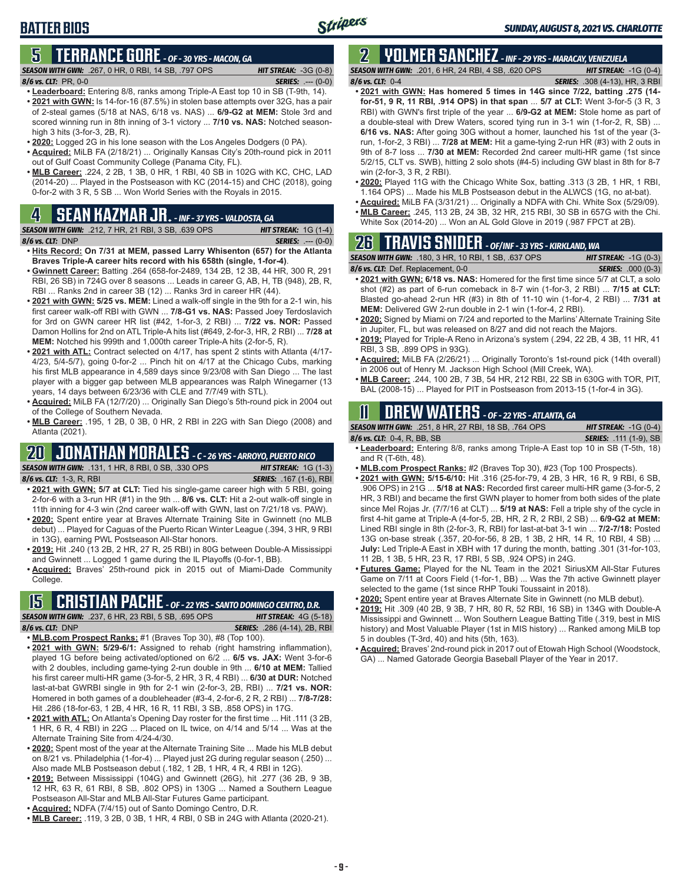# **5 TERRANCE GORE** *- OF - 30 YRS - MACON, GA*

*SEASON WITH GWN:*.267, 0 HR, 0 RBI, 14 SB, .797 OPS *HIT STREAK:* -3G (0-8) *8/6 vs. CLT:*PR, 0-0 *SERIES:* .--- (0-0)

- **• Leaderboard:** Entering 8/8, ranks among Triple-A East top 10 in SB (T-9th, 14). **• 2021 with GWN:** Is 14-for-16 (87.5%) in stolen base attempts over 32G, has a pair of 2-steal games (5/18 at NAS, 6/18 vs. NAS) ... **6/9-G2 at MEM:** Stole 3rd and scored winning run in 8th inning of 3-1 victory ... **7/10 vs. NAS:** Notched seasonhigh 3 hits (3-for-3, 2B, R).
- **• 2020:** Logged 2G in his lone season with the Los Angeles Dodgers (0 PA).
- **• Acquired:** MiLB FA (2/18/21) ... Originally Kansas City's 20th-round pick in 2011 out of Gulf Coast Community College (Panama City, FL).
- **• MLB Career:** .224, 2 2B, 1 3B, 0 HR, 1 RBI, 40 SB in 102G with KC, CHC, LAD (2014-20) ... Played in the Postseason with KC (2014-15) and CHC (2018), going 0-for-2 with 3 R, 5 SB ... Won World Series with the Royals in 2015.

# **4 SEAN KAZMAR JR.** *- INF - 37 YRS - VALDOSTA, GA*

*SEASON WITH GWN:*.212, 7 HR, 21 RBI, 3 SB, .639 OPS *HIT STREAK:* 1G (1-4) *8/6 vs. CLT:*DNP *SERIES:* .--- (0-0)

- **• Hits Record: On 7/31 at MEM, passed Larry Whisenton (657) for the Atlanta Braves Triple-A career hits record with his 658th (single, 1-for-4)**.
- **• Gwinnett Career:** Batting .264 (658-for-2489, 134 2B, 12 3B, 44 HR, 300 R, 291 RBI, 26 SB) in 724G over 8 seasons ... Leads in career G, AB, H, TB (948), 2B, R, RBI ... Ranks 2nd in career 3B (12) ... Ranks 3rd in career HR (44).
- **• 2021 with GWN: 5/25 vs. MEM:** Lined a walk-off single in the 9th for a 2-1 win, his first career walk-off RBI with GWN ... **7/8-G1 vs. NAS:** Passed Joey Terdoslavich for 3rd on GWN career HR list (#42, 1-for-3, 2 RBI) ... **7/22 vs. NOR:** Passed Damon Hollins for 2nd on ATL Triple-A hits list (#649, 2-for-3, HR, 2 RBI) ... **7/28 at MEM:** Notched his 999th and 1,000th career Triple-A hits (2-for-5, R).
- **• 2021 with ATL:** Contract selected on 4/17, has spent 2 stints with Atlanta (4/17- 4/23, 5/4-5/7), going 0-for-2 ... Pinch hit on 4/17 at the Chicago Cubs, marking his first MLB appearance in 4,589 days since 9/23/08 with San Diego ... The last player with a bigger gap between MLB appearances was Ralph Winegarner (13 years, 14 days between 6/23/36 with CLE and 7/7/49 with STL).
- **• Acquired:** MiLB FA (12/7/20) ... Originally San Diego's 5th-round pick in 2004 out of the College of Southern Nevada.
- **• MLB Career:** .195, 1 2B, 0 3B, 0 HR, 2 RBI in 22G with San Diego (2008) and Atlanta (2021).

# **20 JONATHAN MORALES** *- C - 26 YRS - ARROYO, PUERTO RICO*

*SEASON WITH GWN:*.131, 1 HR, 8 RBI, 0 SB, .330 OPS *HIT STREAK:* 1G (1-3) *8/6 vs. CLT:*1-3, R, RBI *SERIES:* .167 (1-6), RBI

- **• 2021 with GWN: 5/7 at CLT:** Tied his single-game career high with 5 RBI, going 2-for-6 with a 3-run HR (#1) in the 9th ... **8/6 vs. CLT:** Hit a 2-out walk-off single in 11th inning for 4-3 win (2nd career walk-off with GWN, last on 7/21/18 vs. PAW).
- **• 2020:** Spent entire year at Braves Alternate Training Site in Gwinnett (no MLB debut) ... Played for Caguas of the Puerto Rican Winter League (.394, 3 HR, 9 RBI in 13G), earning PWL Postseason All-Star honors.
- **• 2019:** Hit .240 (13 2B, 2 HR, 27 R, 25 RBI) in 80G between Double-A Mississippi and Gwinnett ... Logged 1 game during the IL Playoffs (0-for-1, BB).
- **• Acquired:** Braves' 25th-round pick in 2015 out of Miami-Dade Community College.

# **15 CRISTIAN PACHE** *- OF - 22 YRS - SANTO DOMINGO CENTRO, D.R.*

*SEASON WITH GWN:*.237, 6 HR, 23 RBI, 5 SB, .695 OPS *HIT STREAK:* 4G (5-18) *8/6 vs. CLT:* DNP *SERIES:* .286 (4-14), 2B, RBI

- **• MLB.com Prospect Ranks:** #1 (Braves Top 30), #8 (Top 100). **• 2021 with GWN: 5/29-6/1:** Assigned to rehab (right hamstring inflammation),
- played 1G before being activated/optioned on 6/2 ... **6/5 vs. JAX:** Went 3-for-6 with 2 doubles, including game-tying 2-run double in 9th ... **6/10 at MEM:** Tallied his first career multi-HR game (3-for-5, 2 HR, 3 R, 4 RBI) ... **6/30 at DUR:** Notched last-at-bat GWRBI single in 9th for 2-1 win (2-for-3, 2B, RBI) ... **7/21 vs. NOR:** Homered in both games of a doubleheader (#3-4, 2-for-6, 2 R, 2 RBI) ... **7/8-7/28:** Hit .286 (18-for-63, 1 2B, 4 HR, 16 R, 11 RBI, 3 SB, .858 OPS) in 17G.
- **• 2021 with ATL:** On Atlanta's Opening Day roster for the first time ... Hit .111 (3 2B, 1 HR, 6 R, 4 RBI) in 22G ... Placed on IL twice, on 4/14 and 5/14 ... Was at the Alternate Training Site from 4/24-4/30.
- **• 2020:** Spent most of the year at the Alternate Training Site ... Made his MLB debut on 8/21 vs. Philadelphia (1-for-4) ... Played just 2G during regular season (.250) ... Also made MLB Postseason debut (.182, 1 2B, 1 HR, 4 R, 4 RBI in 12G).
- **• 2019:** Between Mississippi (104G) and Gwinnett (26G), hit .277 (36 2B, 9 3B, 12 HR, 63 R, 61 RBI, 8 SB, .802 OPS) in 130G ... Named a Southern League Postseason All-Star and MLB All-Star Futures Game participant.
- **• Acquired:** NDFA (7/4/15) out of Santo Domingo Centro, D.R.
- **• MLB Career:** .119, 3 2B, 0 3B, 1 HR, 4 RBI, 0 SB in 24G with Atlanta (2020-21).

# **2 YOLMER SANCHEZ** *- INF - 29 YRS - MARACAY, VENEZUELA*

*SEASON WITH GWN:*.201, 6 HR, 24 RBI, 4 SB, .620 OPS *HIT STREAK:* -1G (0-4) *8/6 vs. CLT:*0-4 *SERIES:* .308 (4-13), HR, 3 RBI

Stripers

- **• 2021 with GWN: Has homered 5 times in 14G since 7/22, batting .275 (14 for-51, 9 R, 11 RBI, .914 OPS) in that span** ... **5/7 at CLT:** Went 3-for-5 (3 R, 3 RBI) with GWN's first triple of the year ... **6/9-G2 at MEM:** Stole home as part of a double-steal with Drew Waters, scored tying run in 3-1 win (1-for-2, R, SB) ... **6/16 vs. NAS:** After going 30G without a homer, launched his 1st of the year (3 run, 1-for-2, 3 RBI) ... **7/28 at MEM:** Hit a game-tying 2-run HR (#3) with 2 outs in 9th of 8-7 loss ... **7/30 at MEM:** Recorded 2nd career multi-HR game (1st since 5/2/15, CLT vs. SWB), hitting 2 solo shots (#4-5) including GW blast in 8th for 8-7 win (2-for-3, 3 R, 2 RBI).
- **• 2020:** Played 11G with the Chicago White Sox, batting .313 (3 2B, 1 HR, 1 RBI, 1.164 OPS) ... Made his MLB Postseason debut in the ALWCS (1G, no at-bat).
- **• Acquired:** MiLB FA (3/31/21) ... Originally a NDFA with Chi. White Sox (5/29/09).
- **• MLB Career:** .245, 113 2B, 24 3B, 32 HR, 215 RBI, 30 SB in 657G with the Chi.
- White Sox (2014-20) ... Won an AL Gold Glove in 2019 (.987 FPCT at 2B).

# **26 TRAVIS SNIDER** *- OF/INF - 33 YRS - KIRKLAND, WA*

| <b>SEASON WITH GWN: .180, 3 HR, 10 RBI, 1 SB, .637 OPS</b> | <b>HIT STREAK: -1G (0-3)</b> |
|------------------------------------------------------------|------------------------------|
| 8/6 vs. CLT: Def. Replacement, 0-0                         | <b>SERIES: .000 (0-3)</b>    |
|                                                            |                              |

- **• 2021 with GWN: 6/18 vs. NAS:** Homered for the first time since 5/7 at CLT, a solo shot (#2) as part of 6-run comeback in 8-7 win (1-for-3, 2 RBI) ... **7/15 at CLT:** Blasted go-ahead 2-run HR (#3) in 8th of 11-10 win (1-for-4, 2 RBI) ... **7/31 at MEM:** Delivered GW 2-run double in 2-1 win (1-for-4, 2 RBI).
- **• 2020:** Signed by Miami on 7/24 and reported to the Marlins' Alternate Training Site in Jupiter, FL, but was released on 8/27 and did not reach the Majors.
- **• 2019:** Played for Triple-A Reno in Arizona's system (.294, 22 2B, 4 3B, 11 HR, 41 RBI, 3 SB, .899 OPS in 93G).
- **• Acquired:** MiLB FA (2/26/21) ... Originally Toronto's 1st-round pick (14th overall) in 2006 out of Henry M. Jackson High School (Mill Creek, WA).
- **• MLB Career:** .244, 100 2B, 7 3B, 54 HR, 212 RBI, 22 SB in 630G with TOR, PIT, BAL (2008-15) ... Played for PIT in Postseason from 2013-15 (1-for-4 in 3G).

# **11 Drew WATERS** *- OF - 22 YRS - ATLANTA, GA*

| <b>SEASON WITH GWN:</b> .251, 8 HR, 27 RBI, 18 SB, .764 OPS | <b>HIT STREAK:</b> $-1G(0-4)$ |
|-------------------------------------------------------------|-------------------------------|
| 8/6 vs. CLT: $0-4$ , R, BB, SB                              | <b>SERIES:</b> .111 (1-9), SB |
|                                                             |                               |

- **• Leaderboard:** Entering 8/8, ranks among Triple-A East top 10 in SB (T-5th, 18) and R (T-6th, 48).
- **• MLB.com Prospect Ranks:** #2 (Braves Top 30), #23 (Top 100 Prospects).
- **• 2021 with GWN: 5/15-6/10:** Hit .316 (25-for-79, 4 2B, 3 HR, 16 R, 9 RBI, 6 SB, .906 OPS) in 21G ... **5/18 at NAS:** Recorded first career multi-HR game (3-for-5, 2 HR, 3 RBI) and became the first GWN player to homer from both sides of the plate since Mel Rojas Jr. (7/7/16 at CLT) ... **5/19 at NAS:** Fell a triple shy of the cycle in first 4-hit game at Triple-A (4-for-5, 2B, HR, 2 R, 2 RBI, 2 SB) ... **6/9-G2 at MEM:** Lined RBI single in 8th (2-for-3, R, RBI) for last-at-bat 3-1 win ... **7/2-7/18:** Posted 13G on-base streak (.357, 20-for-56, 8 2B, 1 3B, 2 HR, 14 R, 10 RBI, 4 SB) ... **July:** Led Triple-A East in XBH with 17 during the month, batting .301 (31-for-103, 11 2B, 1 3B, 5 HR, 23 R, 17 RBI, 5 SB, .924 OPS) in 24G.
- **• Futures Game:** Played for the NL Team in the 2021 SiriusXM All-Star Futures Game on 7/11 at Coors Field (1-for-1, BB) ... Was the 7th active Gwinnett player selected to the game (1st since RHP Touki Toussaint in 2018).
- **• 2020:** Spent entire year at Braves Alternate Site in Gwinnett (no MLB debut).
- **• 2019:** Hit .309 (40 2B, 9 3B, 7 HR, 80 R, 52 RBI, 16 SB) in 134G with Double-A Mississippi and Gwinnett ... Won Southern League Batting Title (.319, best in MIS history) and Most Valuable Player (1st in MIS history) ... Ranked among MiLB top 5 in doubles (T-3rd, 40) and hits (5th, 163).
- **• Acquired:** Braves' 2nd-round pick in 2017 out of Etowah High School (Woodstock, GA) ... Named Gatorade Georgia Baseball Player of the Year in 2017.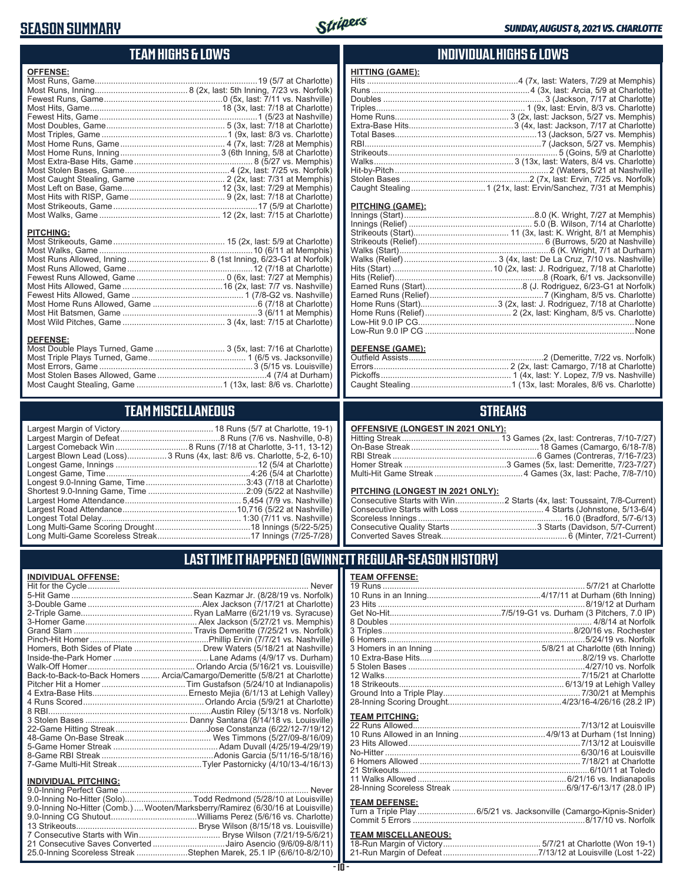### **SEASON SUMMARY**



### **TEAM HIGHS & LOWS**

| <b>OFFENSE:</b>  |  |
|------------------|--|
|                  |  |
|                  |  |
|                  |  |
|                  |  |
|                  |  |
|                  |  |
|                  |  |
|                  |  |
|                  |  |
|                  |  |
|                  |  |
|                  |  |
|                  |  |
|                  |  |
|                  |  |
|                  |  |
| <b>PITCHING:</b> |  |
|                  |  |
|                  |  |
|                  |  |
|                  |  |
|                  |  |
|                  |  |
|                  |  |
|                  |  |
|                  |  |
|                  |  |
|                  |  |
| <b>DEEENSE.</b>  |  |

#### **DEFENSE:**

### **TEAM MISCELLANEOUS**

| Largest Blown Lead (Loss)3 Runs (4x, last: 8/6 vs. Charlotte, 5-2, 6-10) |
|--------------------------------------------------------------------------|
|                                                                          |
| Longest Game, Time……………………………………………………4:26 (5/4 at Charlotte)            |
| Longest 9.0-Inning Game, Time……………………………………3:43 (7/18 at Charlotte)      |
|                                                                          |
|                                                                          |
|                                                                          |
|                                                                          |
|                                                                          |
|                                                                          |
|                                                                          |

#### **INDIVIDUAL HIGHS & LOWS**

| <b>HITTING (GAME):</b> |                                                                   |
|------------------------|-------------------------------------------------------------------|
|                        | Hits ……………………………………………………………4 (7x, last: Waters, 7/29 at Memphis) |
|                        |                                                                   |
|                        |                                                                   |
|                        |                                                                   |
|                        |                                                                   |
|                        |                                                                   |
|                        |                                                                   |
|                        |                                                                   |
|                        |                                                                   |
|                        |                                                                   |
|                        |                                                                   |
|                        |                                                                   |
|                        |                                                                   |
|                        |                                                                   |

#### **PITCHING (GAME):**

| Low-Run 9.0 IP CG …………………………………………………………………………………None |
|-------------------------------------------------------|

#### **DEFENSE (GAME):**

#### **STREAKS**

#### **OFFENSIVE (LONGEST IN 2021 ONLY):**

#### **PITCHING (LONGEST IN 2021 ONLY):**

#### **LAST TIME IT HAPPENED (GWINNETT REGULAR-SEASON HISTORY)**

#### **INDIVIDUAL OFFENSE:**

|                             | Back-to-Back-to-Back Homers  Arcia/Camargo/Demeritte (5/8/21 at Charlotte) |
|-----------------------------|----------------------------------------------------------------------------|
|                             |                                                                            |
|                             |                                                                            |
|                             |                                                                            |
|                             |                                                                            |
|                             |                                                                            |
|                             |                                                                            |
|                             |                                                                            |
|                             |                                                                            |
|                             |                                                                            |
|                             |                                                                            |
|                             |                                                                            |
| <b>INDIVIDUAL PITCHING:</b> |                                                                            |
|                             |                                                                            |

| 9.0-Inning No-Hitter (Solo)Todd Redmond (5/28/10 at Louisville)                 |  |
|---------------------------------------------------------------------------------|--|
| 9.0-Inning No-Hitter (Comb.)  Wooten/Marksberry/Ramirez (6/30/16 at Louisville) |  |
|                                                                                 |  |
|                                                                                 |  |
|                                                                                 |  |
| 21 Consecutive Saves Converted Jairo Asencio (9/6/09-8/8/11)                    |  |
| 25.0-Inning Scoreless Streak Stephen Marek, 25.1 IP (6/6/10-8/2/10)             |  |
|                                                                                 |  |

#### **TEAM OFFENSE:**

| LAMUULUUUL.           |                                                                     |
|-----------------------|---------------------------------------------------------------------|
|                       |                                                                     |
|                       |                                                                     |
|                       |                                                                     |
|                       |                                                                     |
|                       |                                                                     |
|                       |                                                                     |
|                       |                                                                     |
|                       |                                                                     |
|                       |                                                                     |
|                       |                                                                     |
|                       |                                                                     |
|                       |                                                                     |
|                       |                                                                     |
|                       |                                                                     |
| <b>TEAM PITCHING:</b> |                                                                     |
|                       |                                                                     |
|                       |                                                                     |
|                       |                                                                     |
|                       |                                                                     |
|                       |                                                                     |
|                       |                                                                     |
|                       |                                                                     |
|                       |                                                                     |
|                       |                                                                     |
| <b>TEAM DEFENSE:</b>  |                                                                     |
|                       | Turn a Triple Play  6/5/21 vs. Jacksonville (Camargo-Kipnis-Snider) |
|                       |                                                                     |

| <b>TEAM MISCELLANEOUS:</b> |  |
|----------------------------|--|
|                            |  |
|                            |  |